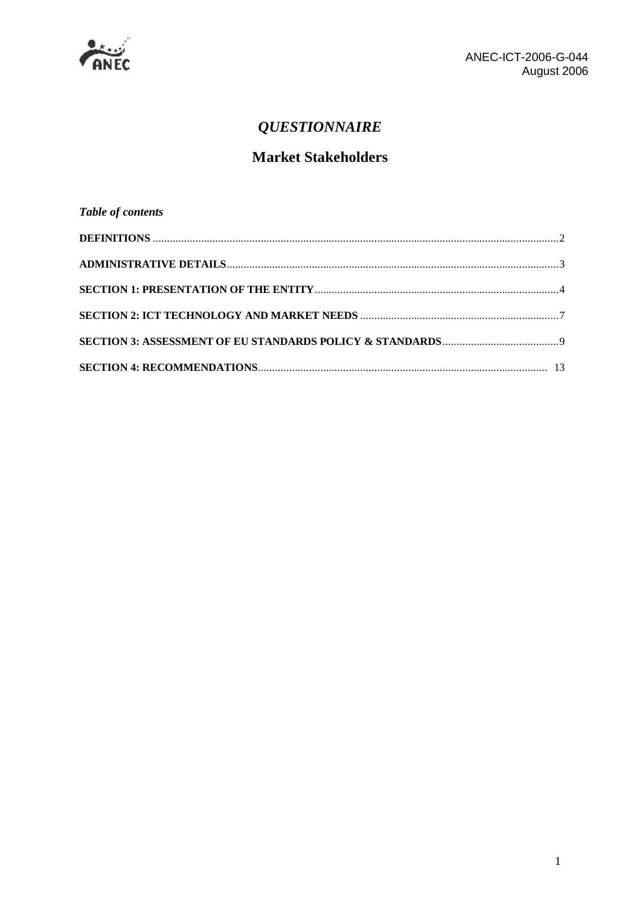

# *QUESTIONNAIRE*

# **Market Stakeholders**

| Table of contents |  |
|-------------------|--|
|                   |  |
|                   |  |
|                   |  |
|                   |  |
|                   |  |
|                   |  |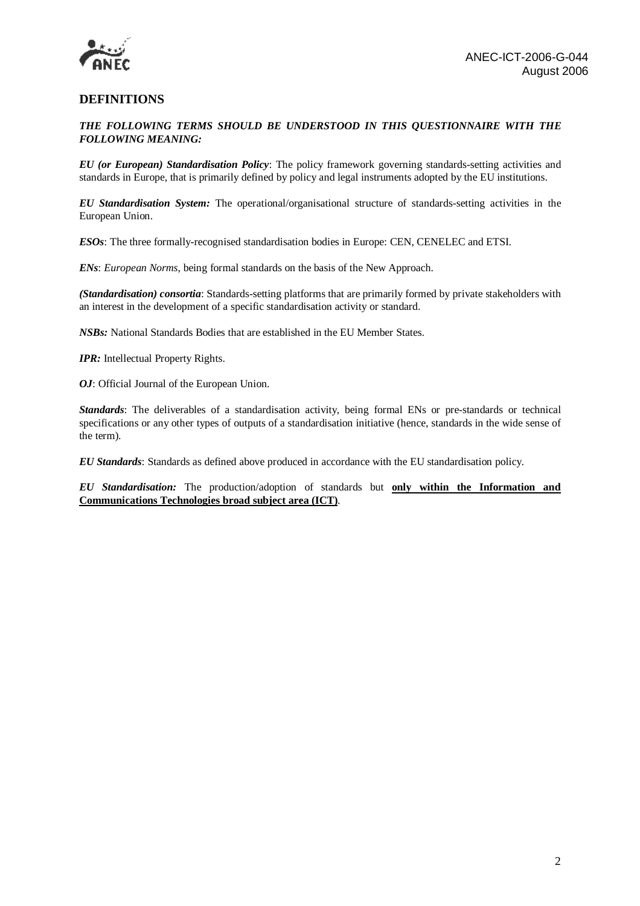

### **DEFINITIONS**

#### *THE FOLLOWING TERMS SHOULD BE UNDERSTOOD IN THIS QUESTIONNAIRE WITH THE FOLLOWING MEANING:*

*EU (or European) Standardisation Policy*: The policy framework governing standards-setting activities and standards in Europe, that is primarily defined by policy and legal instruments adopted by the EU institutions.

*EU Standardisation System:* The operational/organisational structure of standards-setting activities in the European Union.

*ESOs*: The three formally-recognised standardisation bodies in Europe: CEN, CENELEC and ETSI.

*ENs*: *European Norms*, being formal standards on the basis of the New Approach.

*(Standardisation) consortia*: Standards-setting platforms that are primarily formed by private stakeholders with an interest in the development of a specific standardisation activity or standard.

*NSBs:* National Standards Bodies that are established in the EU Member States.

*IPR:* Intellectual Property Rights.

*OJ*: Official Journal of the European Union.

*Standards*: The deliverables of a standardisation activity, being formal ENs or pre-standards or technical specifications or any other types of outputs of a standardisation initiative (hence, standards in the wide sense of the term).

*EU Standards*: Standards as defined above produced in accordance with the EU standardisation policy.

*EU Standardisation:* The production/adoption of standards but **only within the Information and Communications Technologies broad subject area (ICT)**.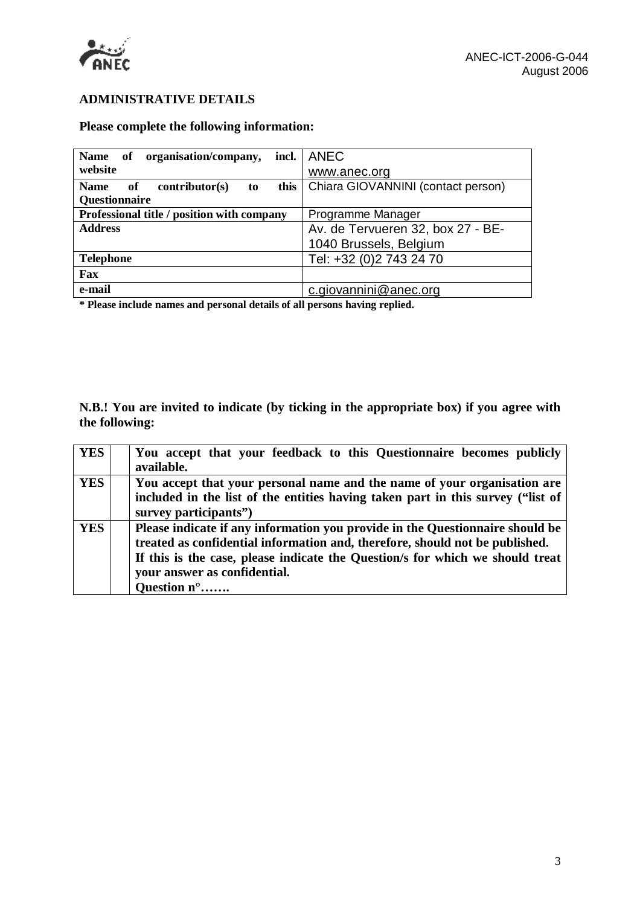

### **ADMINISTRATIVE DETAILS**

# **Please complete the following information:**

| organisation/company,<br>Name of                  | incl.   ANEC                       |
|---------------------------------------------------|------------------------------------|
| website                                           | www.anec.org                       |
| this<br><b>Name</b><br>contributor(s)<br>of<br>to | Chiara GIOVANNINI (contact person) |
| Questionnaire                                     |                                    |
| Professional title / position with company        | Programme Manager                  |
| <b>Address</b>                                    | Av. de Tervueren 32, box 27 - BE-  |
|                                                   | 1040 Brussels, Belgium             |
| <b>Telephone</b>                                  | Tel: +32 (0)2 743 24 70            |
| Fax                                               |                                    |
| e-mail                                            | c.giovannini@anec.org              |

**\* Please include names and personal details of all persons having replied.**

**N.B.! You are invited to indicate (by ticking in the appropriate box) if you agree with the following:** 

| <b>YES</b> | You accept that your feedback to this Questionnaire becomes publicly<br>available.                                                                                                                                                                                                            |
|------------|-----------------------------------------------------------------------------------------------------------------------------------------------------------------------------------------------------------------------------------------------------------------------------------------------|
| <b>YES</b> | You accept that your personal name and the name of your organisation are<br>included in the list of the entities having taken part in this survey ("list of<br>survey participants")                                                                                                          |
| <b>YES</b> | Please indicate if any information you provide in the Questionnaire should be<br>treated as confidential information and, therefore, should not be published.<br>If this is the case, please indicate the Question's for which we should treat<br>your answer as confidential.<br>Question n° |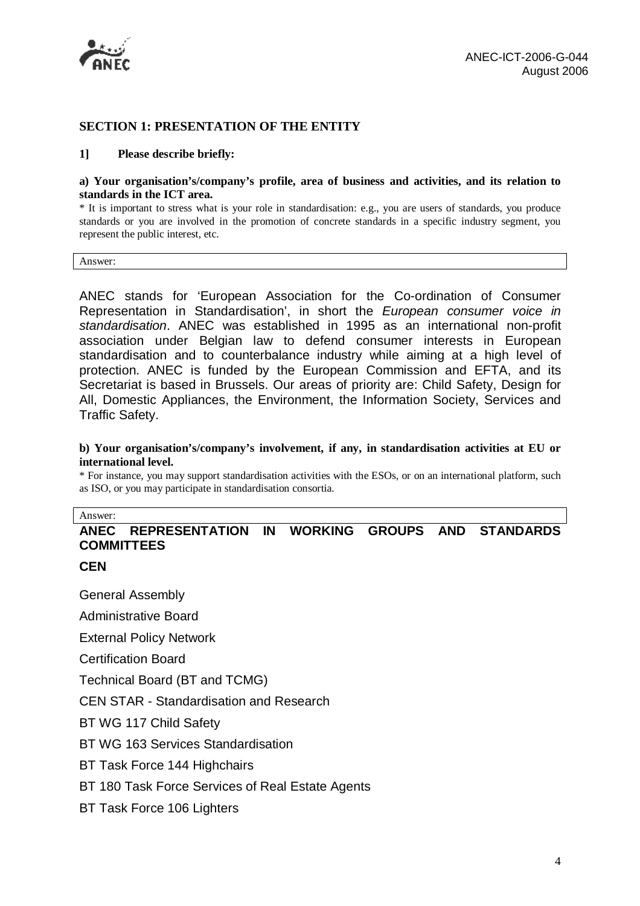

### **SECTION 1: PRESENTATION OF THE ENTITY**

#### **1] Please describe briefly:**

#### **a) Your organisation's/company's profile, area of business and activities, and its relation to standards in the ICT area.**

\* It is important to stress what is your role in standardisation: e.g., you are users of standards, you produce standards or you are involved in the promotion of concrete standards in a specific industry segment, you represent the public interest, etc.

Answer:

ANEC stands for 'European Association for the Co-ordination of Consumer Representation in Standardisation', in short the *European consumer voice in standardisation*. ANEC was established in 1995 as an international non-profit association under Belgian law to defend consumer interests in European standardisation and to counterbalance industry while aiming at a high level of protection. ANEC is funded by the European Commission and EFTA, and its Secretariat is based in Brussels. Our areas of priority are: Child Safety, Design for All, Domestic Appliances, the Environment, the Information Society, Services and Traffic Safety.

#### **b) Your organisation's/company's involvement, if any, in standardisation activities at EU or international level.**

\* For instance, you may support standardisation activities with the ESOs, or on an international platform, such as ISO, or you may participate in standardisation consortia.

#### Answer:

# **ANEC REPRESENTATION IN WORKING GROUPS AND STANDARDS COMMITTEES**

**CEN** 

General Assembly

Administrative Board

External Policy Network

Certification Board

Technical Board (BT and TCMG)

CEN STAR - Standardisation and Research

BT WG 117 Child Safety

BT WG 163 Services Standardisation

BT Task Force 144 Highchairs

BT 180 Task Force Services of Real Estate Agents

BT Task Force 106 Lighters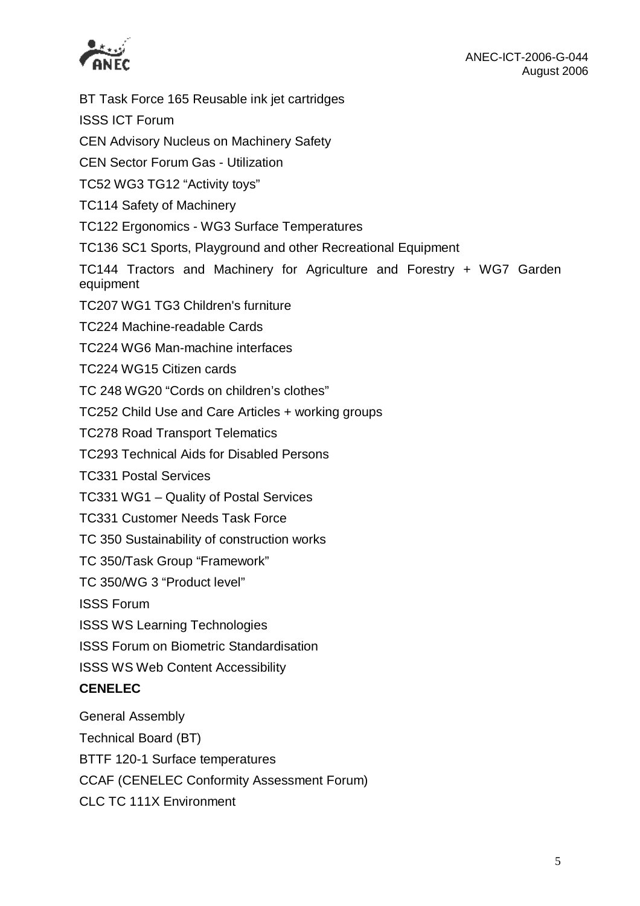



BT Task Force 165 Reusable ink jet cartridges ISSS ICT Forum CEN Advisory Nucleus on Machinery Safety CEN Sector Forum Gas - Utilization TC52 WG3 TG12 "Activity toys" TC114 Safety of Machinery TC122 Ergonomics - WG3 Surface Temperatures TC136 SC1 Sports, Playground and other Recreational Equipment TC144 Tractors and Machinery for Agriculture and Forestry + WG7 Garden equipment TC207 WG1 TG3 Children's furniture TC224 Machine-readable Cards TC224 WG6 Man-machine interfaces TC224 WG15 Citizen cards TC 248 WG20 "Cords on children's clothes" TC252 Child Use and Care Articles + working groups TC278 Road Transport Telematics TC293 Technical Aids for Disabled Persons TC331 Postal Services TC331 WG1 – Quality of Postal Services TC331 Customer Needs Task Force TC 350 Sustainability of construction works TC 350/Task Group "Framework" TC 350/WG 3 "Product level" ISSS Forum ISSS WS Learning Technologies ISSS Forum on Biometric Standardisation ISSS WS Web Content Accessibility **CENELEC**  General Assembly Technical Board (BT) BTTF 120-1 Surface temperatures

CCAF (CENELEC Conformity Assessment Forum)

CLC TC 111X Environment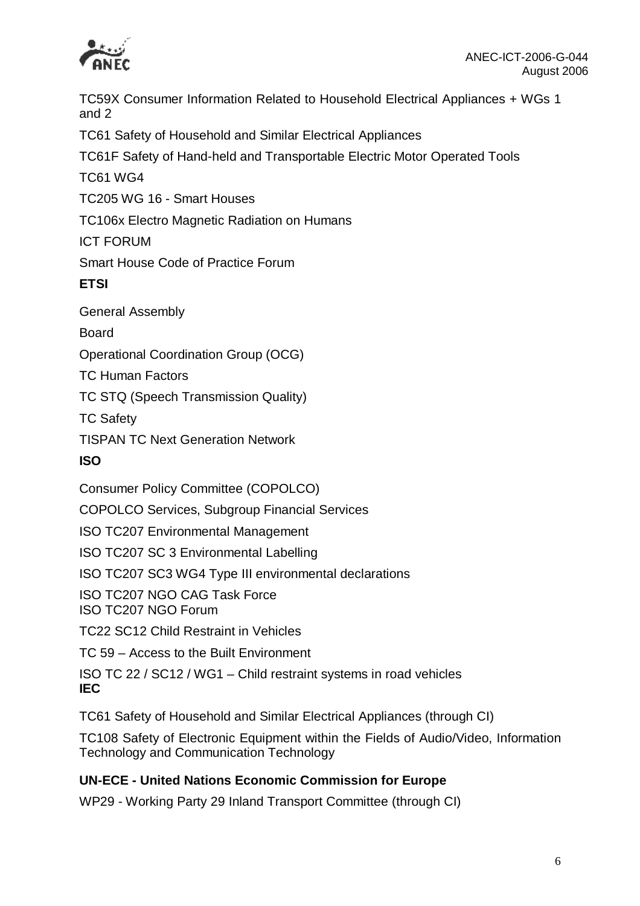

TC59X Consumer Information Related to Household Electrical Appliances + WGs 1 and 2

TC61 Safety of Household and Similar Electrical Appliances

TC61F Safety of Hand-held and Transportable Electric Motor Operated Tools

TC61 WG4

TC205 WG 16 - Smart Houses

TC106x Electro Magnetic Radiation on Humans

ICT FORUM

Smart House Code of Practice Forum

**ETSI** 

General Assembly

Board

Operational Coordination Group (OCG)

TC Human Factors

TC STQ (Speech Transmission Quality)

TC Safety

TISPAN TC Next Generation Network

# **ISO**

Consumer Policy Committee (COPOLCO)

COPOLCO Services, Subgroup Financial Services

ISO TC207 Environmental Management

ISO TC207 SC 3 Environmental Labelling

ISO TC207 SC3 WG4 Type III environmental declarations

ISO TC207 NGO CAG Task Force

ISO TC207 NGO Forum

TC22 SC12 Child Restraint in Vehicles

TC 59 – Access to the Built Environment

ISO TC 22 / SC12 / WG1 – Child restraint systems in road vehicles **IEC** 

TC61 Safety of Household and Similar Electrical Appliances (through CI)

TC108 Safety of Electronic Equipment within the Fields of Audio/Video, Information Technology and Communication Technology

# **UN-ECE - United Nations Economic Commission for Europe**

WP29 - Working Party 29 Inland Transport Committee (through CI)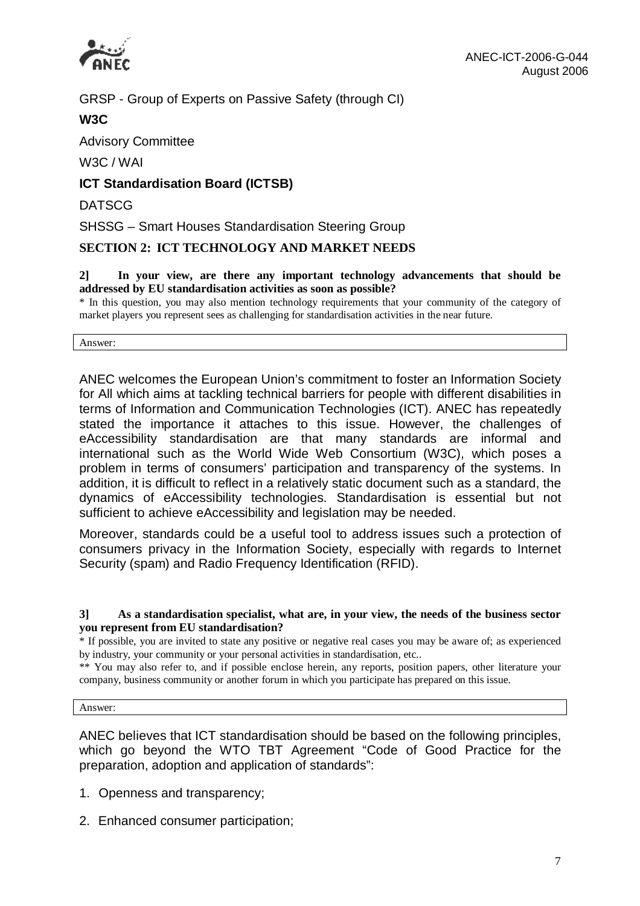

GRSP - Group of Experts on Passive Safety (through CI)

# **W3C**

Advisory Committee

W3C / WAI

**ICT Standardisation Board (ICTSB)** 

**DATSCG** 

SHSSG – Smart Houses Standardisation Steering Group

# **SECTION 2: ICT TECHNOLOGY AND MARKET NEEDS**

#### **2] In your view, are there any important technology advancements that should be addressed by EU standardisation activities as soon as possible?**

\* In this question, you may also mention technology requirements that your community of the category of market players you represent sees as challenging for standardisation activities in the near future.

Answer:

ANEC welcomes the European Union's commitment to foster an Information Society for All which aims at tackling technical barriers for people with different disabilities in terms of Information and Communication Technologies (ICT). ANEC has repeatedly stated the importance it attaches to this issue. However, the challenges of eAccessibility standardisation are that many standards are informal and international such as the World Wide Web Consortium (W3C), which poses a problem in terms of consumers' participation and transparency of the systems. In addition, it is difficult to reflect in a relatively static document such as a standard, the dynamics of eAccessibility technologies. Standardisation is essential but not sufficient to achieve eAccessibility and legislation may be needed.

Moreover, standards could be a useful tool to address issues such a protection of consumers privacy in the Information Society, especially with regards to Internet Security (spam) and Radio Frequency Identification (RFID).

#### **3] As a standardisation specialist, what are, in your view, the needs of the business sector you represent from EU standardisation?**

\* If possible, you are invited to state any positive or negative real cases you may be aware of; as experienced by industry, your community or your personal activities in standardisation, etc..

\*\* You may also refer to, and if possible enclose herein, any reports, position papers, other literature your company, business community or another forum in which you participate has prepared on this issue.

Answer:

ANEC believes that ICT standardisation should be based on the following principles, which go beyond the WTO TBT Agreement "Code of Good Practice for the preparation, adoption and application of standards":

- 1. Openness and transparency;
- 2. Enhanced consumer participation;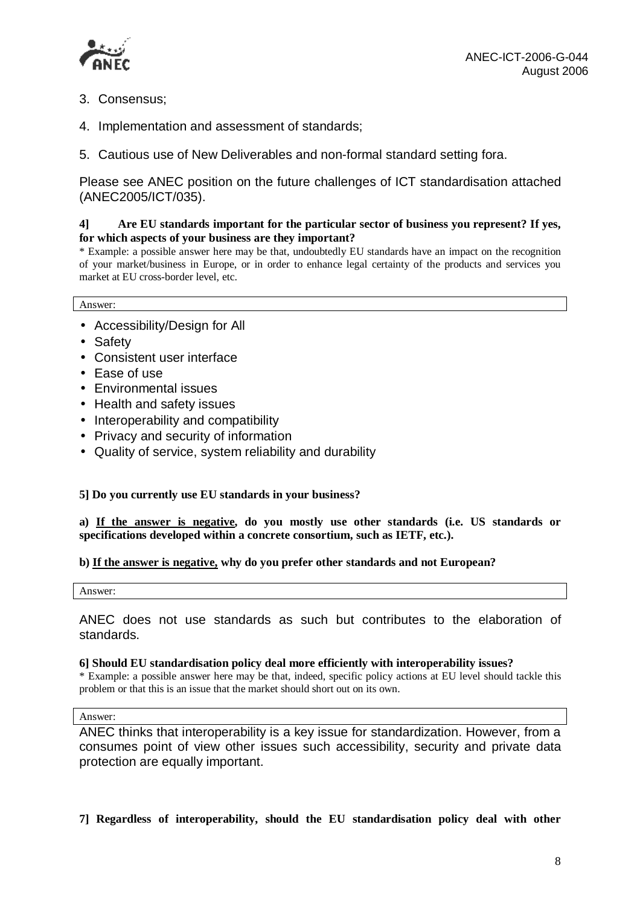

- 3. Consensus;
- 4. Implementation and assessment of standards;
- 5. Cautious use of New Deliverables and non-formal standard setting fora.

Please see ANEC position on the future challenges of ICT standardisation attached (ANEC2005/ICT/035).

#### **4] Are EU standards important for the particular sector of business you represent? If yes, for which aspects of your business are they important?**

\* Example: a possible answer here may be that, undoubtedly EU standards have an impact on the recognition of your market/business in Europe, or in order to enhance legal certainty of the products and services you market at EU cross-border level, etc.

#### Answer:

- Accessibility/Design for All
- Safety
- Consistent user interface
- Ease of use
- Environmental issues
- Health and safety issues
- Interoperability and compatibility
- Privacy and security of information
- Quality of service, system reliability and durability

#### **5] Do you currently use EU standards in your business?**

#### **a) If the answer is negative, do you mostly use other standards (i.e. US standards or specifications developed within a concrete consortium, such as IETF, etc.).**

#### **b) If the answer is negative, why do you prefer other standards and not European?**

Answer:

ANEC does not use standards as such but contributes to the elaboration of standards.

#### **6] Should EU standardisation policy deal more efficiently with interoperability issues?**

\* Example: a possible answer here may be that, indeed, specific policy actions at EU level should tackle this problem or that this is an issue that the market should short out on its own.

#### Answer:

ANEC thinks that interoperability is a key issue for standardization. However, from a consumes point of view other issues such accessibility, security and private data protection are equally important.

**7] Regardless of interoperability, should the EU standardisation policy deal with other**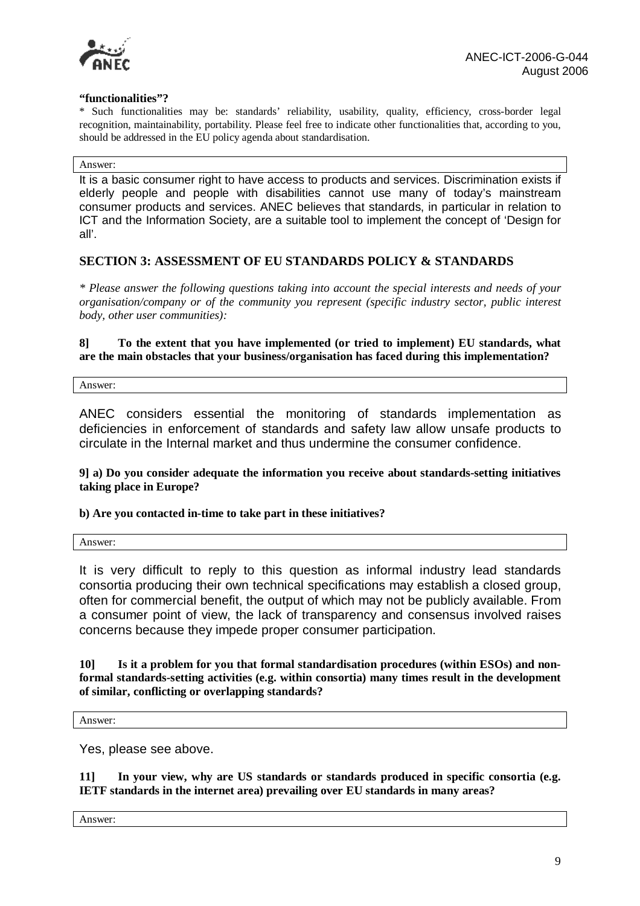

#### **"functionalities"?**

\* Such functionalities may be: standards' reliability, usability, quality, efficiency, cross-border legal recognition, maintainability, portability. Please feel free to indicate other functionalities that, according to you, should be addressed in the EU policy agenda about standardisation.

#### Answer:

It is a basic consumer right to have access to products and services. Discrimination exists if elderly people and people with disabilities cannot use many of today's mainstream consumer products and services. ANEC believes that standards, in particular in relation to ICT and the Information Society, are a suitable tool to implement the concept of 'Design for all'.

#### **SECTION 3: ASSESSMENT OF EU STANDARDS POLICY & STANDARDS**

*\* Please answer the following questions taking into account the special interests and needs of your organisation/company or of the community you represent (specific industry sector, public interest body, other user communities):* 

#### **8] To the extent that you have implemented (or tried to implement) EU standards, what are the main obstacles that your business/organisation has faced during this implementation?**

Answer:

ANEC considers essential the monitoring of standards implementation as deficiencies in enforcement of standards and safety law allow unsafe products to circulate in the Internal market and thus undermine the consumer confidence.

**9] a) Do you consider adequate the information you receive about standards-setting initiatives taking place in Europe?** 

#### **b) Are you contacted in-time to take part in these initiatives?**

Answer:

It is very difficult to reply to this question as informal industry lead standards consortia producing their own technical specifications may establish a closed group, often for commercial benefit, the output of which may not be publicly available. From a consumer point of view, the lack of transparency and consensus involved raises concerns because they impede proper consumer participation.

**10] Is it a problem for you that formal standardisation procedures (within ESOs) and nonformal standards-setting activities (e.g. within consortia) many times result in the development of similar, conflicting or overlapping standards?** 

Answer:

Yes, please see above.

**11] In your view, why are US standards or standards produced in specific consortia (e.g. IETF standards in the internet area) prevailing over EU standards in many areas?** 

Answer: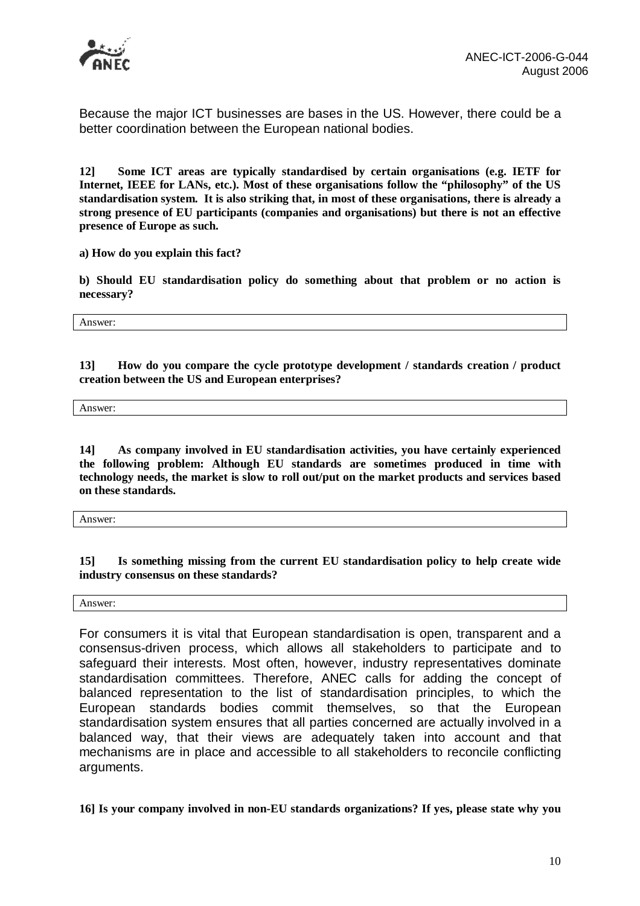

Because the major ICT businesses are bases in the US. However, there could be a better coordination between the European national bodies.

**12] Some ICT areas are typically standardised by certain organisations (e.g. IETF for Internet, IEEE for LANs, etc.). Most of these organisations follow the "philosophy" of the US standardisation system. It is also striking that, in most of these organisations, there is already a strong presence of EU participants (companies and organisations) but there is not an effective presence of Europe as such.** 

**a) How do you explain this fact?** 

**b) Should EU standardisation policy do something about that problem or no action is necessary?** 

Answer:

**13] How do you compare the cycle prototype development / standards creation / product creation between the US and European enterprises?** 

Answer:

**14] As company involved in EU standardisation activities, you have certainly experienced the following problem: Although EU standards are sometimes produced in time with technology needs, the market is slow to roll out/put on the market products and services based on these standards.** 

Answer:

**15] Is something missing from the current EU standardisation policy to help create wide industry consensus on these standards?** 

Answer:

For consumers it is vital that European standardisation is open, transparent and a consensus-driven process, which allows all stakeholders to participate and to safeguard their interests. Most often, however, industry representatives dominate standardisation committees. Therefore, ANEC calls for adding the concept of balanced representation to the list of standardisation principles, to which the European standards bodies commit themselves, so that the European standardisation system ensures that all parties concerned are actually involved in a balanced way, that their views are adequately taken into account and that mechanisms are in place and accessible to all stakeholders to reconcile conflicting arguments.

**16] Is your company involved in non-EU standards organizations? If yes, please state why you**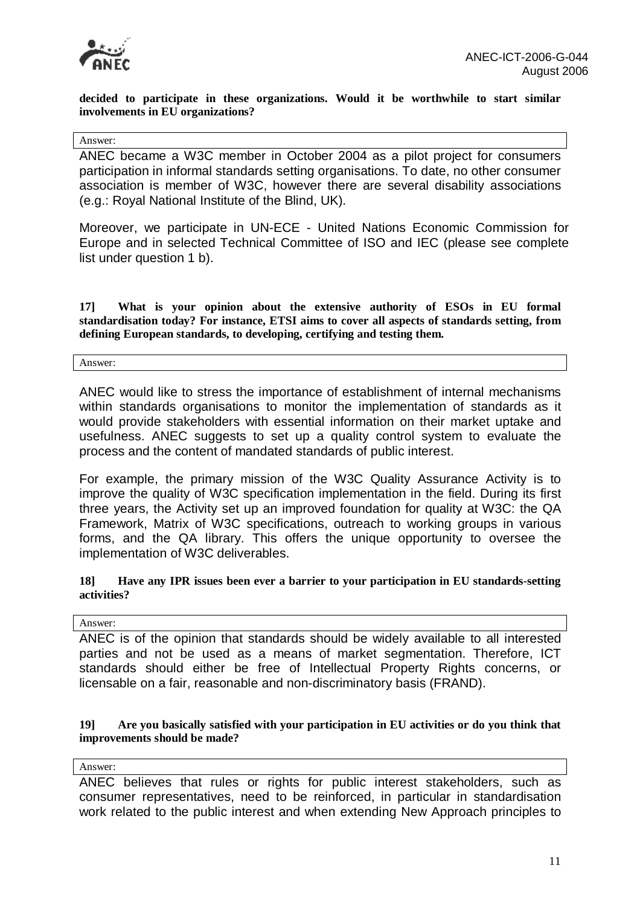

**decided to participate in these organizations. Would it be worthwhile to start similar involvements in EU organizations?** 

#### Answer:

ANEC became a W3C member in October 2004 as a pilot project for consumers participation in informal standards setting organisations. To date, no other consumer association is member of W3C, however there are several disability associations (e.g.: Royal National Institute of the Blind, UK).

Moreover, we participate in UN-ECE - United Nations Economic Commission for Europe and in selected Technical Committee of ISO and IEC (please see complete list under question 1 b).

**17] What is your opinion about the extensive authority of ESOs in EU formal standardisation today? For instance, ETSI aims to cover all aspects of standards setting, from defining European standards, to developing, certifying and testing them.** 

#### Answer:

ANEC would like to stress the importance of establishment of internal mechanisms within standards organisations to monitor the implementation of standards as it would provide stakeholders with essential information on their market uptake and usefulness. ANEC suggests to set up a quality control system to evaluate the process and the content of mandated standards of public interest.

For example, the primary mission of the W3C Quality Assurance Activity is to improve the quality of W3C specification implementation in the field. During its first three years, the Activity set up an improved foundation for quality at W3C: the QA Framework, Matrix of W3C specifications, outreach to working groups in various forms, and the QA library. This offers the unique opportunity to oversee the implementation of W3C deliverables.

#### **18] Have any IPR issues been ever a barrier to your participation in EU standards-setting activities?**

#### Answer:

ANEC is of the opinion that standards should be widely available to all interested parties and not be used as a means of market segmentation. Therefore, ICT standards should either be free of Intellectual Property Rights concerns, or licensable on a fair, reasonable and non-discriminatory basis (FRAND).

#### **19] Are you basically satisfied with your participation in EU activities or do you think that improvements should be made?**

Answer:

ANEC believes that rules or rights for public interest stakeholders, such as consumer representatives, need to be reinforced, in particular in standardisation work related to the public interest and when extending New Approach principles to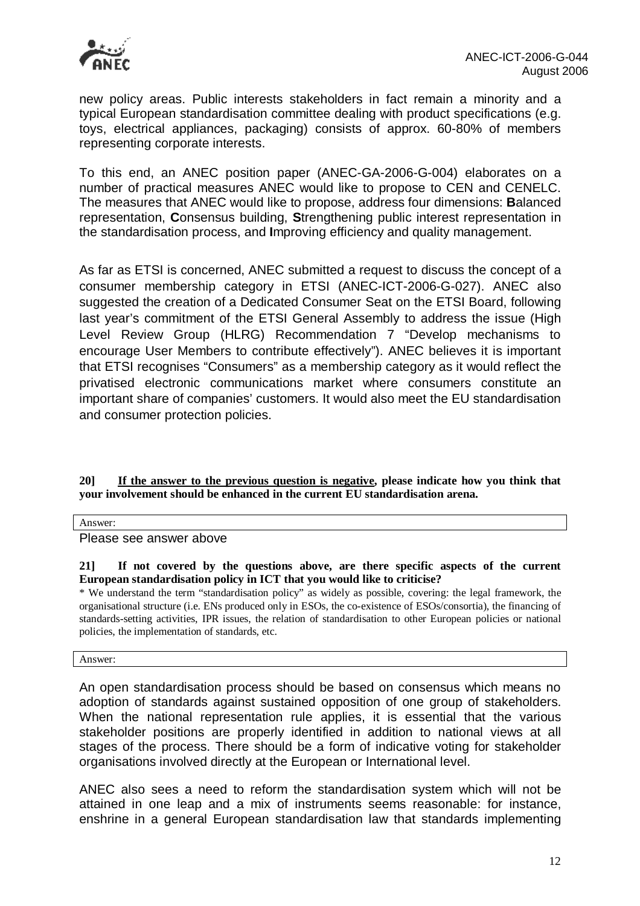

new policy areas. Public interests stakeholders in fact remain a minority and a typical European standardisation committee dealing with product specifications (e.g. toys, electrical appliances, packaging) consists of approx. 60-80% of members representing corporate interests.

To this end, an ANEC position paper (ANEC-GA-2006-G-004) elaborates on a number of practical measures ANEC would like to propose to CEN and CENELC. The measures that ANEC would like to propose, address four dimensions: **B**alanced representation, **C**onsensus building, **S**trengthening public interest representation in the standardisation process, and **I**mproving efficiency and quality management.

As far as ETSI is concerned, ANEC submitted a request to discuss the concept of a consumer membership category in ETSI (ANEC-ICT-2006-G-027). ANEC also suggested the creation of a Dedicated Consumer Seat on the ETSI Board, following last year's commitment of the ETSI General Assembly to address the issue (High Level Review Group (HLRG) Recommendation 7 "Develop mechanisms to encourage User Members to contribute effectively"). ANEC believes it is important that ETSI recognises "Consumers" as a membership category as it would reflect the privatised electronic communications market where consumers constitute an important share of companies' customers. It would also meet the EU standardisation and consumer protection policies.

**20] If the answer to the previous question is negative, please indicate how you think that your involvement should be enhanced in the current EU standardisation arena.** 

Answer:

Please see answer above

**21] If not covered by the questions above, are there specific aspects of the current European standardisation policy in ICT that you would like to criticise?** 

\* We understand the term "standardisation policy" as widely as possible, covering: the legal framework, the organisational structure (i.e. ENs produced only in ESOs, the co-existence of ESOs/consortia), the financing of standards-setting activities, IPR issues, the relation of standardisation to other European policies or national policies, the implementation of standards, etc.

Answer:

An open standardisation process should be based on consensus which means no adoption of standards against sustained opposition of one group of stakeholders. When the national representation rule applies, it is essential that the various stakeholder positions are properly identified in addition to national views at all stages of the process. There should be a form of indicative voting for stakeholder organisations involved directly at the European or International level.

ANEC also sees a need to reform the standardisation system which will not be attained in one leap and a mix of instruments seems reasonable: for instance, enshrine in a general European standardisation law that standards implementing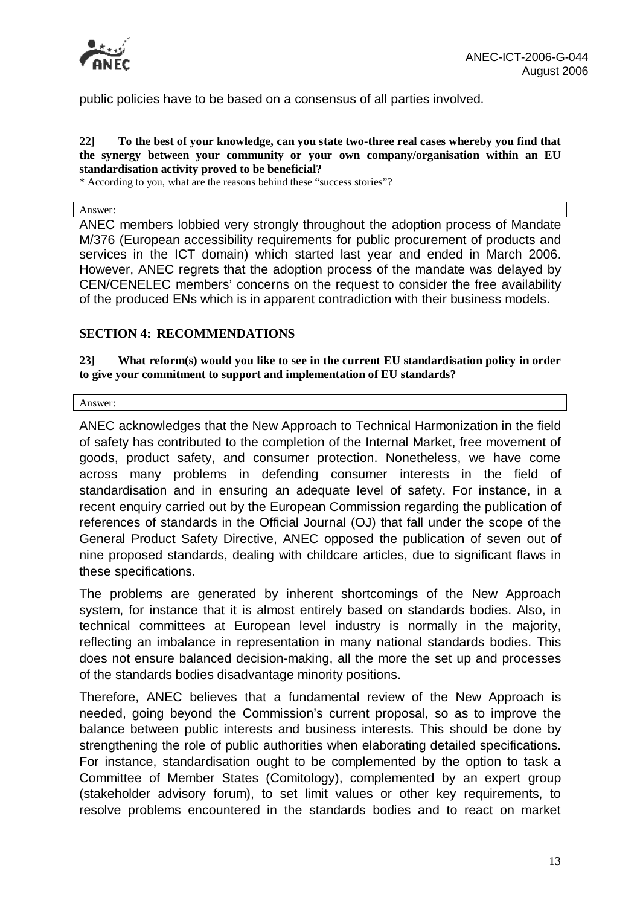

public policies have to be based on a consensus of all parties involved.

#### **22] To the best of your knowledge, can you state two-three real cases whereby you find that the synergy between your community or your own company/organisation within an EU standardisation activity proved to be beneficial?**

\* According to you, what are the reasons behind these "success stories"?

Answer:

ANEC members lobbied very strongly throughout the adoption process of Mandate M/376 (European accessibility requirements for public procurement of products and services in the ICT domain) which started last year and ended in March 2006. However, ANEC regrets that the adoption process of the mandate was delayed by CEN/CENELEC members' concerns on the request to consider the free availability of the produced ENs which is in apparent contradiction with their business models.

### **SECTION 4: RECOMMENDATIONS**

**23] What reform(s) would you like to see in the current EU standardisation policy in order to give your commitment to support and implementation of EU standards?** 

Answer:

ANEC acknowledges that the New Approach to Technical Harmonization in the field of safety has contributed to the completion of the Internal Market, free movement of goods, product safety, and consumer protection. Nonetheless, we have come across many problems in defending consumer interests in the field of standardisation and in ensuring an adequate level of safety. For instance, in a recent enquiry carried out by the European Commission regarding the publication of references of standards in the Official Journal (OJ) that fall under the scope of the General Product Safety Directive, ANEC opposed the publication of seven out of nine proposed standards, dealing with childcare articles, due to significant flaws in these specifications.

The problems are generated by inherent shortcomings of the New Approach system, for instance that it is almost entirely based on standards bodies. Also, in technical committees at European level industry is normally in the majority, reflecting an imbalance in representation in many national standards bodies. This does not ensure balanced decision-making, all the more the set up and processes of the standards bodies disadvantage minority positions.

Therefore, ANEC believes that a fundamental review of the New Approach is needed, going beyond the Commission's current proposal, so as to improve the balance between public interests and business interests. This should be done by strengthening the role of public authorities when elaborating detailed specifications. For instance, standardisation ought to be complemented by the option to task a Committee of Member States (Comitology), complemented by an expert group (stakeholder advisory forum), to set limit values or other key requirements, to resolve problems encountered in the standards bodies and to react on market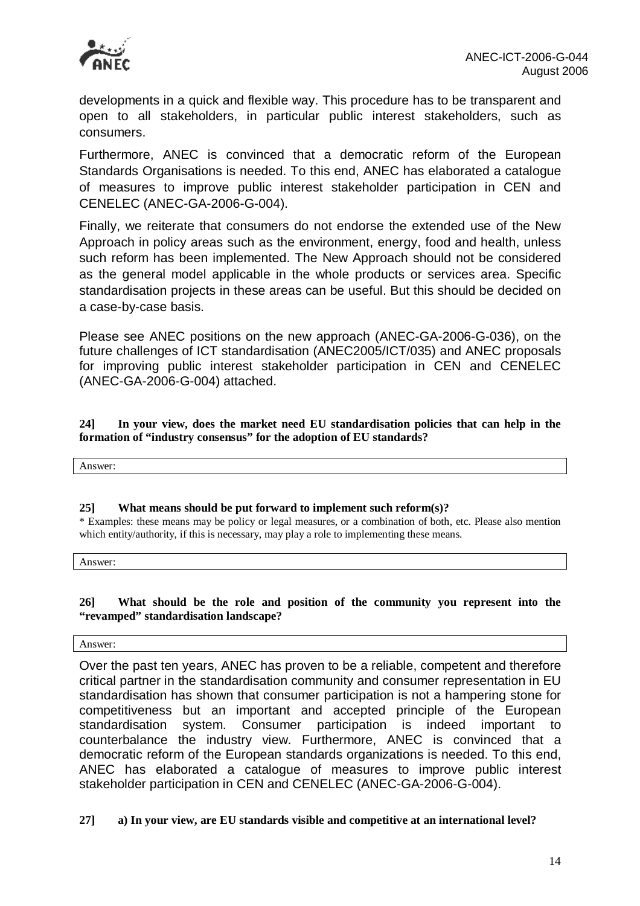

developments in a quick and flexible way. This procedure has to be transparent and open to all stakeholders, in particular public interest stakeholders, such as consumers.

Furthermore, ANEC is convinced that a democratic reform of the European Standards Organisations is needed. To this end, ANEC has elaborated a catalogue of measures to improve public interest stakeholder participation in CEN and CENELEC (ANEC-GA-2006-G-004).

Finally, we reiterate that consumers do not endorse the extended use of the New Approach in policy areas such as the environment, energy, food and health, unless such reform has been implemented. The New Approach should not be considered as the general model applicable in the whole products or services area. Specific standardisation projects in these areas can be useful. But this should be decided on a case-by-case basis.

Please see ANEC positions on the new approach (ANEC-GA-2006-G-036), on the future challenges of ICT standardisation (ANEC2005/ICT/035) and ANEC proposals for improving public interest stakeholder participation in CEN and CENELEC (ANEC-GA-2006-G-004) attached.

**24] In your view, does the market need EU standardisation policies that can help in the formation of "industry consensus" for the adoption of EU standards?** 

Answer:

#### **25] What means should be put forward to implement such reform(s)?**

\* Examples: these means may be policy or legal measures, or a combination of both, etc. Please also mention which entity/authority, if this is necessary, may play a role to implementing these means.

Answer:

#### **26] What should be the role and position of the community you represent into the "revamped" standardisation landscape?**

Answer:

Over the past ten years, ANEC has proven to be a reliable, competent and therefore critical partner in the standardisation community and consumer representation in EU standardisation has shown that consumer participation is not a hampering stone for competitiveness but an important and accepted principle of the European standardisation system. Consumer participation is indeed important to counterbalance the industry view. Furthermore, ANEC is convinced that a democratic reform of the European standards organizations is needed. To this end, ANEC has elaborated a catalogue of measures to improve public interest stakeholder participation in CEN and CENELEC (ANEC-GA-2006-G-004).

**27] a) In your view, are EU standards visible and competitive at an international level?**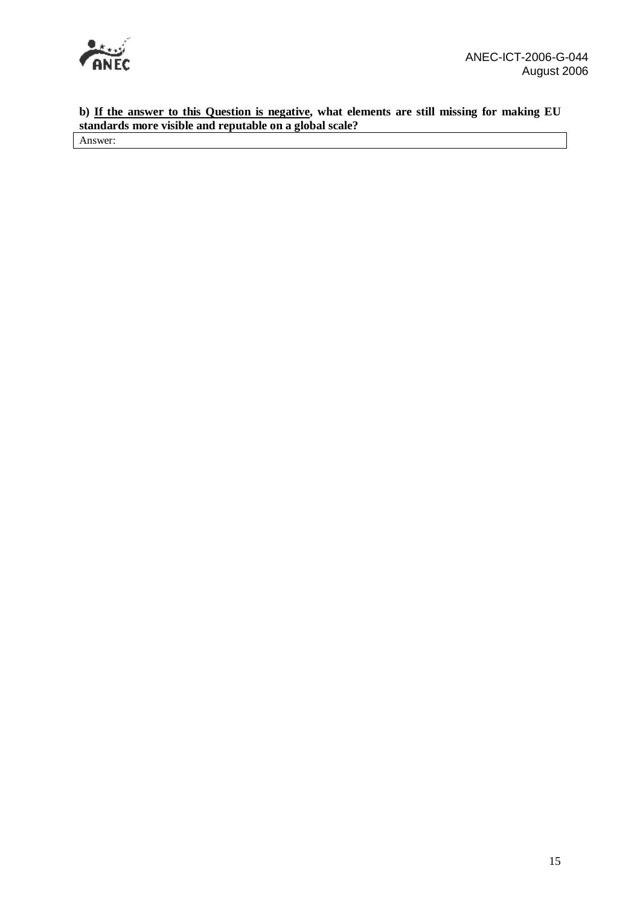

**b) If the answer to this Question is negative, what elements are still missing for making EU standards more visible and reputable on a global scale?** 

Answer: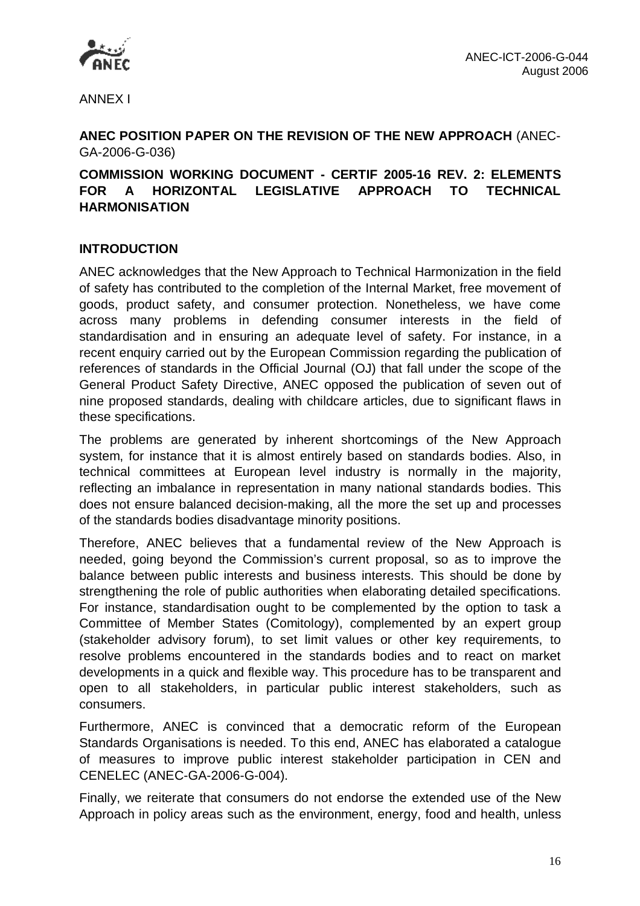

ANNEX I

# **ANEC POSITION PAPER ON THE REVISION OF THE NEW APPROACH** (ANEC-GA-2006-G-036)

# **COMMISSION WORKING DOCUMENT - CERTIF 2005-16 REV. 2: ELEMENTS FOR A HORIZONTAL LEGISLATIVE APPROACH TO TECHNICAL HARMONISATION**

# **INTRODUCTION**

ANEC acknowledges that the New Approach to Technical Harmonization in the field of safety has contributed to the completion of the Internal Market, free movement of goods, product safety, and consumer protection. Nonetheless, we have come across many problems in defending consumer interests in the field of standardisation and in ensuring an adequate level of safety. For instance, in a recent enquiry carried out by the European Commission regarding the publication of references of standards in the Official Journal (OJ) that fall under the scope of the General Product Safety Directive, ANEC opposed the publication of seven out of nine proposed standards, dealing with childcare articles, due to significant flaws in these specifications.

The problems are generated by inherent shortcomings of the New Approach system, for instance that it is almost entirely based on standards bodies. Also, in technical committees at European level industry is normally in the majority, reflecting an imbalance in representation in many national standards bodies. This does not ensure balanced decision-making, all the more the set up and processes of the standards bodies disadvantage minority positions.

Therefore, ANEC believes that a fundamental review of the New Approach is needed, going beyond the Commission's current proposal, so as to improve the balance between public interests and business interests. This should be done by strengthening the role of public authorities when elaborating detailed specifications. For instance, standardisation ought to be complemented by the option to task a Committee of Member States (Comitology), complemented by an expert group (stakeholder advisory forum), to set limit values or other key requirements, to resolve problems encountered in the standards bodies and to react on market developments in a quick and flexible way. This procedure has to be transparent and open to all stakeholders, in particular public interest stakeholders, such as consumers.

Furthermore, ANEC is convinced that a democratic reform of the European Standards Organisations is needed. To this end, ANEC has elaborated a catalogue of measures to improve public interest stakeholder participation in CEN and CENELEC (ANEC-GA-2006-G-004).

Finally, we reiterate that consumers do not endorse the extended use of the New Approach in policy areas such as the environment, energy, food and health, unless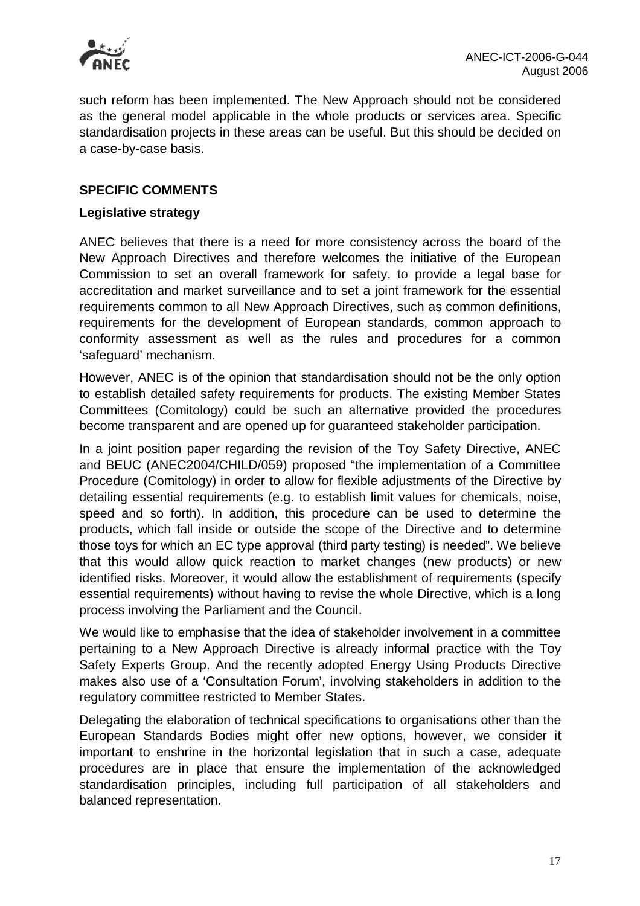

such reform has been implemented. The New Approach should not be considered as the general model applicable in the whole products or services area. Specific standardisation projects in these areas can be useful. But this should be decided on a case-by-case basis.

### **SPECIFIC COMMENTS**

### **Legislative strategy**

ANEC believes that there is a need for more consistency across the board of the New Approach Directives and therefore welcomes the initiative of the European Commission to set an overall framework for safety, to provide a legal base for accreditation and market surveillance and to set a joint framework for the essential requirements common to all New Approach Directives, such as common definitions, requirements for the development of European standards, common approach to conformity assessment as well as the rules and procedures for a common 'safeguard' mechanism.

However, ANEC is of the opinion that standardisation should not be the only option to establish detailed safety requirements for products. The existing Member States Committees (Comitology) could be such an alternative provided the procedures become transparent and are opened up for guaranteed stakeholder participation.

In a joint position paper regarding the revision of the Toy Safety Directive, ANEC and BEUC (ANEC2004/CHILD/059) proposed "the implementation of a Committee Procedure (Comitology) in order to allow for flexible adjustments of the Directive by detailing essential requirements (e.g. to establish limit values for chemicals, noise, speed and so forth). In addition, this procedure can be used to determine the products, which fall inside or outside the scope of the Directive and to determine those toys for which an EC type approval (third party testing) is needed". We believe that this would allow quick reaction to market changes (new products) or new identified risks. Moreover, it would allow the establishment of requirements (specify essential requirements) without having to revise the whole Directive, which is a long process involving the Parliament and the Council.

We would like to emphasise that the idea of stakeholder involvement in a committee pertaining to a New Approach Directive is already informal practice with the Toy Safety Experts Group. And the recently adopted Energy Using Products Directive makes also use of a 'Consultation Forum', involving stakeholders in addition to the regulatory committee restricted to Member States.

Delegating the elaboration of technical specifications to organisations other than the European Standards Bodies might offer new options, however, we consider it important to enshrine in the horizontal legislation that in such a case, adequate procedures are in place that ensure the implementation of the acknowledged standardisation principles, including full participation of all stakeholders and balanced representation.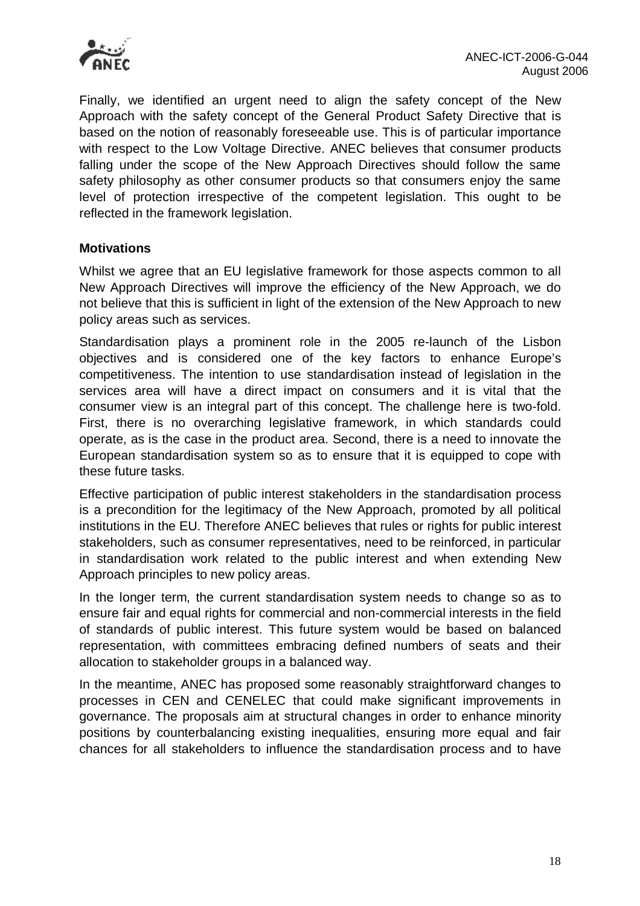

Finally, we identified an urgent need to align the safety concept of the New Approach with the safety concept of the General Product Safety Directive that is based on the notion of reasonably foreseeable use. This is of particular importance with respect to the Low Voltage Directive. ANEC believes that consumer products falling under the scope of the New Approach Directives should follow the same safety philosophy as other consumer products so that consumers enjoy the same level of protection irrespective of the competent legislation. This ought to be reflected in the framework legislation.

### **Motivations**

Whilst we agree that an EU legislative framework for those aspects common to all New Approach Directives will improve the efficiency of the New Approach, we do not believe that this is sufficient in light of the extension of the New Approach to new policy areas such as services.

Standardisation plays a prominent role in the 2005 re-launch of the Lisbon objectives and is considered one of the key factors to enhance Europe's competitiveness. The intention to use standardisation instead of legislation in the services area will have a direct impact on consumers and it is vital that the consumer view is an integral part of this concept. The challenge here is two-fold. First, there is no overarching legislative framework, in which standards could operate, as is the case in the product area. Second, there is a need to innovate the European standardisation system so as to ensure that it is equipped to cope with these future tasks.

Effective participation of public interest stakeholders in the standardisation process is a precondition for the legitimacy of the New Approach, promoted by all political institutions in the EU. Therefore ANEC believes that rules or rights for public interest stakeholders, such as consumer representatives, need to be reinforced, in particular in standardisation work related to the public interest and when extending New Approach principles to new policy areas.

In the longer term, the current standardisation system needs to change so as to ensure fair and equal rights for commercial and non-commercial interests in the field of standards of public interest. This future system would be based on balanced representation, with committees embracing defined numbers of seats and their allocation to stakeholder groups in a balanced way.

In the meantime, ANEC has proposed some reasonably straightforward changes to processes in CEN and CENELEC that could make significant improvements in governance. The proposals aim at structural changes in order to enhance minority positions by counterbalancing existing inequalities, ensuring more equal and fair chances for all stakeholders to influence the standardisation process and to have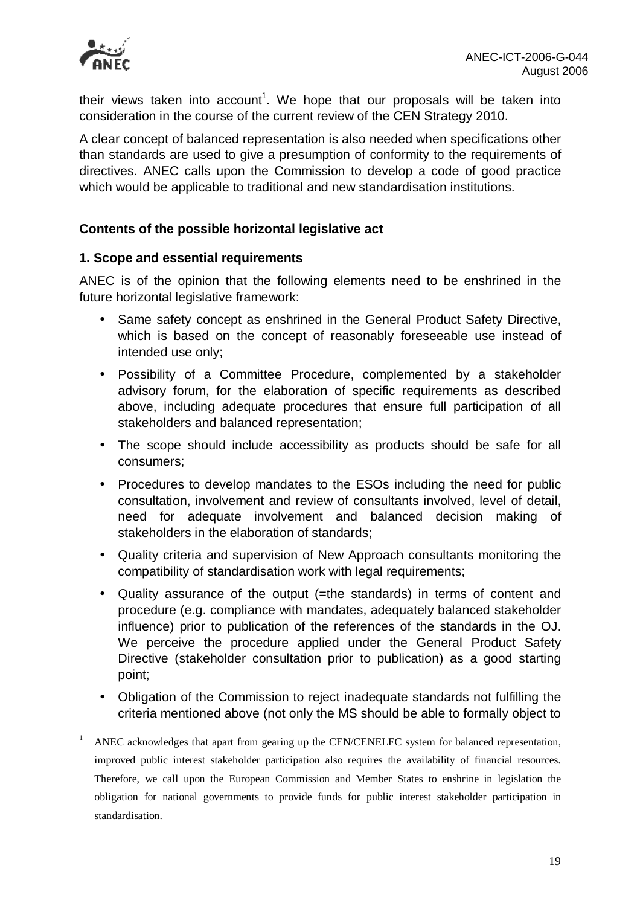

their views taken into account<sup>1</sup>. We hope that our proposals will be taken into consideration in the course of the current review of the CEN Strategy 2010.

A clear concept of balanced representation is also needed when specifications other than standards are used to give a presumption of conformity to the requirements of directives. ANEC calls upon the Commission to develop a code of good practice which would be applicable to traditional and new standardisation institutions.

# **Contents of the possible horizontal legislative act**

### **1. Scope and essential requirements**

ANEC is of the opinion that the following elements need to be enshrined in the future horizontal legislative framework:

- Same safety concept as enshrined in the General Product Safety Directive, which is based on the concept of reasonably foreseeable use instead of intended use only;
- Possibility of a Committee Procedure, complemented by a stakeholder advisory forum, for the elaboration of specific requirements as described above, including adequate procedures that ensure full participation of all stakeholders and balanced representation;
- The scope should include accessibility as products should be safe for all consumers;
- Procedures to develop mandates to the ESOs including the need for public consultation, involvement and review of consultants involved, level of detail, need for adequate involvement and balanced decision making of stakeholders in the elaboration of standards;
- Quality criteria and supervision of New Approach consultants monitoring the compatibility of standardisation work with legal requirements;
- Quality assurance of the output (=the standards) in terms of content and procedure (e.g. compliance with mandates, adequately balanced stakeholder influence) prior to publication of the references of the standards in the OJ. We perceive the procedure applied under the General Product Safety Directive (stakeholder consultation prior to publication) as a good starting point;
- Obligation of the Commission to reject inadequate standards not fulfilling the criteria mentioned above (not only the MS should be able to formally object to

 $\mathbf{1}$ <sup>1</sup> ANEC acknowledges that apart from gearing up the CEN/CENELEC system for balanced representation, improved public interest stakeholder participation also requires the availability of financial resources. Therefore, we call upon the European Commission and Member States to enshrine in legislation the obligation for national governments to provide funds for public interest stakeholder participation in standardisation.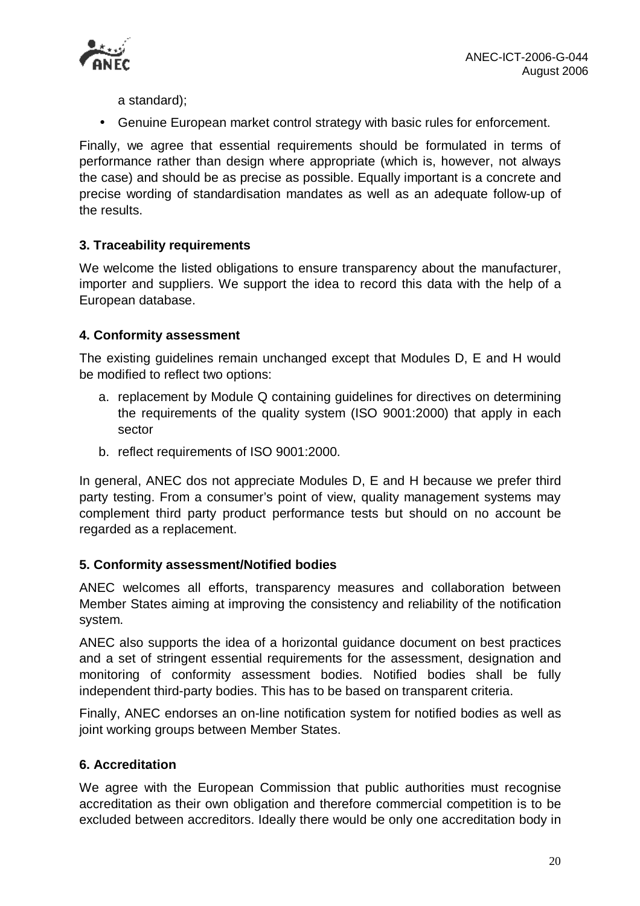

a standard);

• Genuine European market control strategy with basic rules for enforcement.

Finally, we agree that essential requirements should be formulated in terms of performance rather than design where appropriate (which is, however, not always the case) and should be as precise as possible. Equally important is a concrete and precise wording of standardisation mandates as well as an adequate follow-up of the results.

# **3. Traceability requirements**

We welcome the listed obligations to ensure transparency about the manufacturer, importer and suppliers. We support the idea to record this data with the help of a European database.

# **4. Conformity assessment**

The existing guidelines remain unchanged except that Modules D, E and H would be modified to reflect two options:

- a. replacement by Module Q containing guidelines for directives on determining the requirements of the quality system (ISO 9001:2000) that apply in each sector
- b. reflect requirements of ISO 9001:2000.

In general, ANEC dos not appreciate Modules D, E and H because we prefer third party testing. From a consumer's point of view, quality management systems may complement third party product performance tests but should on no account be regarded as a replacement.

# **5. Conformity assessment/Notified bodies**

ANEC welcomes all efforts, transparency measures and collaboration between Member States aiming at improving the consistency and reliability of the notification system.

ANEC also supports the idea of a horizontal guidance document on best practices and a set of stringent essential requirements for the assessment, designation and monitoring of conformity assessment bodies. Notified bodies shall be fully independent third-party bodies. This has to be based on transparent criteria.

Finally, ANEC endorses an on-line notification system for notified bodies as well as joint working groups between Member States.

# **6. Accreditation**

We agree with the European Commission that public authorities must recognise accreditation as their own obligation and therefore commercial competition is to be excluded between accreditors. Ideally there would be only one accreditation body in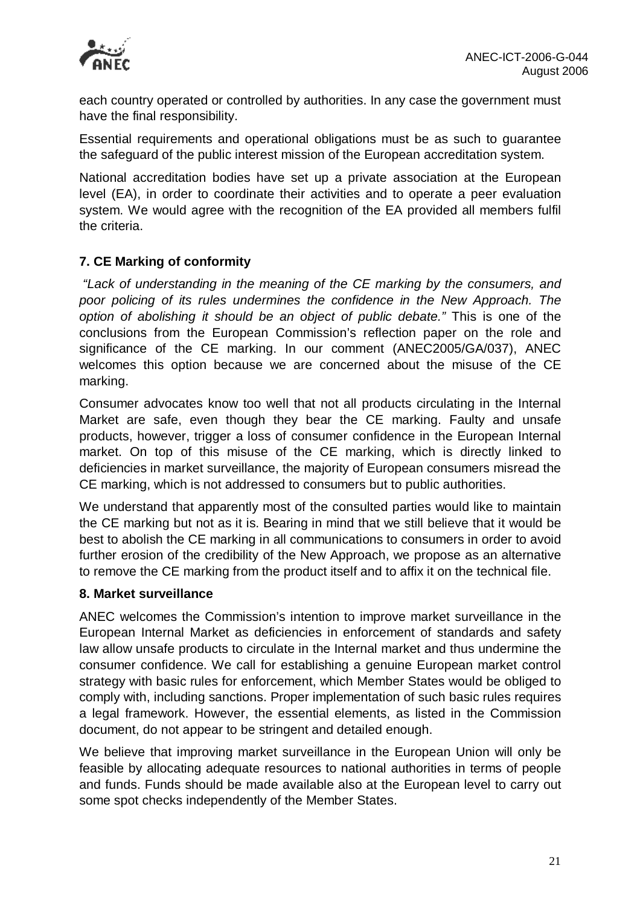

each country operated or controlled by authorities. In any case the government must have the final responsibility.

Essential requirements and operational obligations must be as such to guarantee the safeguard of the public interest mission of the European accreditation system.

National accreditation bodies have set up a private association at the European level (EA), in order to coordinate their activities and to operate a peer evaluation system. We would agree with the recognition of the EA provided all members fulfil the criteria.

# **7. CE Marking of conformity**

*"Lack of understanding in the meaning of the CE marking by the consumers, and poor policing of its rules undermines the confidence in the New Approach. The option of abolishing it should be an object of public debate."* This is one of the conclusions from the European Commission's reflection paper on the role and significance of the CE marking. In our comment (ANEC2005/GA/037), ANEC welcomes this option because we are concerned about the misuse of the CE marking.

Consumer advocates know too well that not all products circulating in the Internal Market are safe, even though they bear the CE marking. Faulty and unsafe products, however, trigger a loss of consumer confidence in the European Internal market. On top of this misuse of the CE marking, which is directly linked to deficiencies in market surveillance, the majority of European consumers misread the CE marking, which is not addressed to consumers but to public authorities.

We understand that apparently most of the consulted parties would like to maintain the CE marking but not as it is. Bearing in mind that we still believe that it would be best to abolish the CE marking in all communications to consumers in order to avoid further erosion of the credibility of the New Approach, we propose as an alternative to remove the CE marking from the product itself and to affix it on the technical file.

### **8. Market surveillance**

ANEC welcomes the Commission's intention to improve market surveillance in the European Internal Market as deficiencies in enforcement of standards and safety law allow unsafe products to circulate in the Internal market and thus undermine the consumer confidence. We call for establishing a genuine European market control strategy with basic rules for enforcement, which Member States would be obliged to comply with, including sanctions. Proper implementation of such basic rules requires a legal framework. However, the essential elements, as listed in the Commission document, do not appear to be stringent and detailed enough.

We believe that improving market surveillance in the European Union will only be feasible by allocating adequate resources to national authorities in terms of people and funds. Funds should be made available also at the European level to carry out some spot checks independently of the Member States.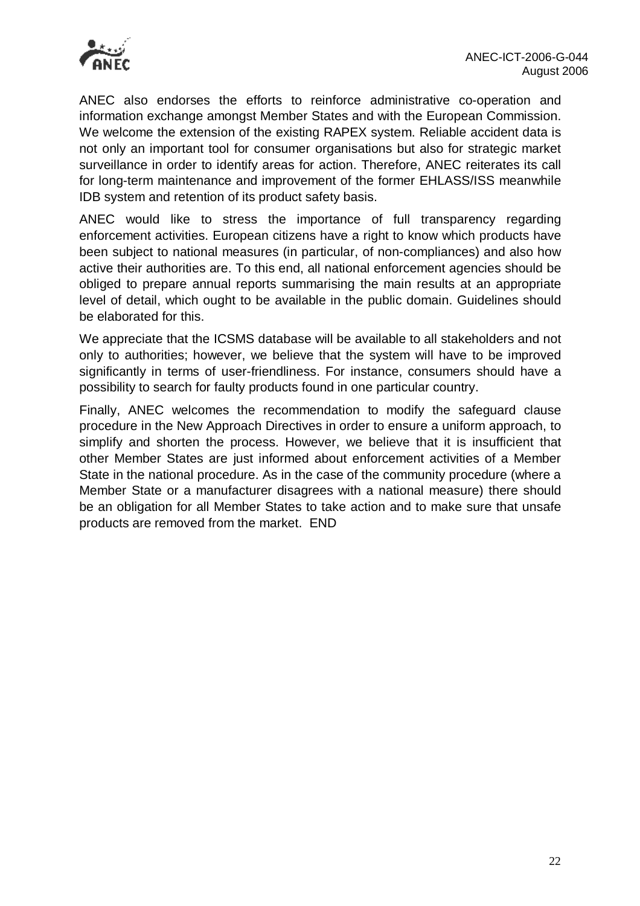

ANEC also endorses the efforts to reinforce administrative co-operation and information exchange amongst Member States and with the European Commission. We welcome the extension of the existing RAPEX system. Reliable accident data is not only an important tool for consumer organisations but also for strategic market surveillance in order to identify areas for action. Therefore, ANEC reiterates its call for long-term maintenance and improvement of the former EHLASS/ISS meanwhile IDB system and retention of its product safety basis.

ANEC would like to stress the importance of full transparency regarding enforcement activities. European citizens have a right to know which products have been subject to national measures (in particular, of non-compliances) and also how active their authorities are. To this end, all national enforcement agencies should be obliged to prepare annual reports summarising the main results at an appropriate level of detail, which ought to be available in the public domain. Guidelines should be elaborated for this.

We appreciate that the ICSMS database will be available to all stakeholders and not only to authorities; however, we believe that the system will have to be improved significantly in terms of user-friendliness. For instance, consumers should have a possibility to search for faulty products found in one particular country.

Finally, ANEC welcomes the recommendation to modify the safeguard clause procedure in the New Approach Directives in order to ensure a uniform approach, to simplify and shorten the process. However, we believe that it is insufficient that other Member States are just informed about enforcement activities of a Member State in the national procedure. As in the case of the community procedure (where a Member State or a manufacturer disagrees with a national measure) there should be an obligation for all Member States to take action and to make sure that unsafe products are removed from the market. END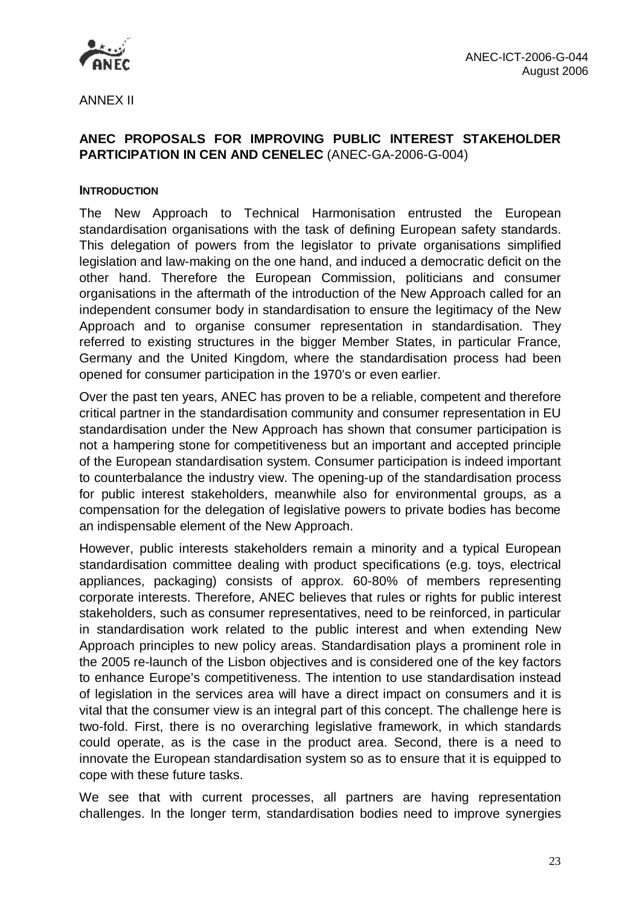

ANNEX II

# **ANEC PROPOSALS FOR IMPROVING PUBLIC INTEREST STAKEHOLDER PARTICIPATION IN CEN AND CENELEC** (ANEC-GA-2006-G-004)

### **INTRODUCTION**

The New Approach to Technical Harmonisation entrusted the European standardisation organisations with the task of defining European safety standards. This delegation of powers from the legislator to private organisations simplified legislation and law-making on the one hand, and induced a democratic deficit on the other hand. Therefore the European Commission, politicians and consumer organisations in the aftermath of the introduction of the New Approach called for an independent consumer body in standardisation to ensure the legitimacy of the New Approach and to organise consumer representation in standardisation. They referred to existing structures in the bigger Member States, in particular France, Germany and the United Kingdom, where the standardisation process had been opened for consumer participation in the 1970's or even earlier.

Over the past ten years, ANEC has proven to be a reliable, competent and therefore critical partner in the standardisation community and consumer representation in EU standardisation under the New Approach has shown that consumer participation is not a hampering stone for competitiveness but an important and accepted principle of the European standardisation system. Consumer participation is indeed important to counterbalance the industry view. The opening-up of the standardisation process for public interest stakeholders, meanwhile also for environmental groups, as a compensation for the delegation of legislative powers to private bodies has become an indispensable element of the New Approach.

However, public interests stakeholders remain a minority and a typical European standardisation committee dealing with product specifications (e.g. toys, electrical appliances, packaging) consists of approx. 60-80% of members representing corporate interests. Therefore, ANEC believes that rules or rights for public interest stakeholders, such as consumer representatives, need to be reinforced, in particular in standardisation work related to the public interest and when extending New Approach principles to new policy areas. Standardisation plays a prominent role in the 2005 re-launch of the Lisbon objectives and is considered one of the key factors to enhance Europe's competitiveness. The intention to use standardisation instead of legislation in the services area will have a direct impact on consumers and it is vital that the consumer view is an integral part of this concept. The challenge here is two-fold. First, there is no overarching legislative framework, in which standards could operate, as is the case in the product area. Second, there is a need to innovate the European standardisation system so as to ensure that it is equipped to cope with these future tasks.

We see that with current processes, all partners are having representation challenges. In the longer term, standardisation bodies need to improve synergies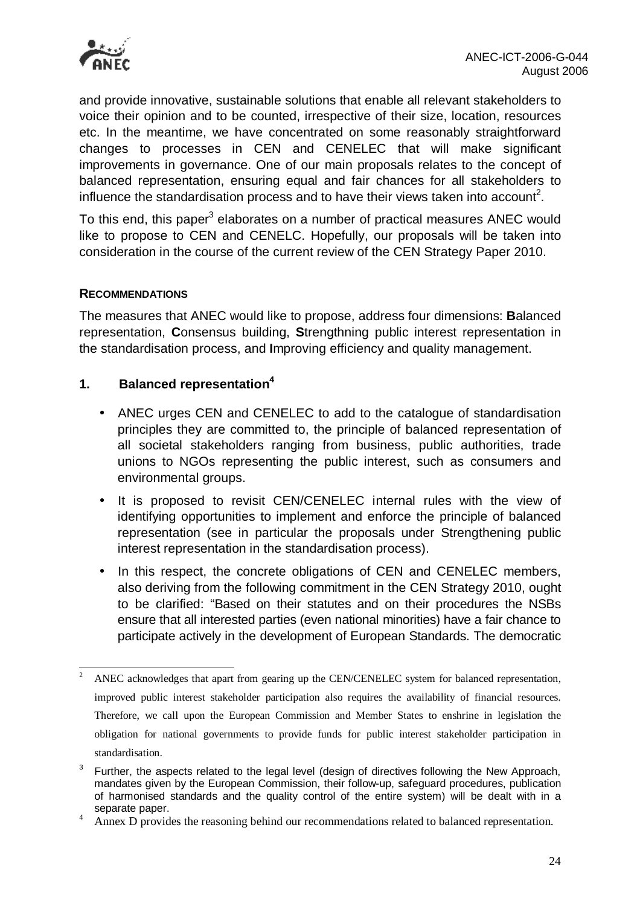

and provide innovative, sustainable solutions that enable all relevant stakeholders to voice their opinion and to be counted, irrespective of their size, location, resources etc. In the meantime, we have concentrated on some reasonably straightforward changes to processes in CEN and CENELEC that will make significant improvements in governance. One of our main proposals relates to the concept of balanced representation, ensuring equal and fair chances for all stakeholders to influence the standardisation process and to have their views taken into account<sup>2</sup>.

To this end, this paper<sup>3</sup> elaborates on a number of practical measures ANEC would like to propose to CEN and CENELC. Hopefully, our proposals will be taken into consideration in the course of the current review of the CEN Strategy Paper 2010.

### **RECOMMENDATIONS**

The measures that ANEC would like to propose, address four dimensions: **B**alanced representation, **C**onsensus building, **S**trengthning public interest representation in the standardisation process, and **I**mproving efficiency and quality management.

### **1. Balanced representation<sup>4</sup>**

- ANEC urges CEN and CENELEC to add to the catalogue of standardisation principles they are committed to, the principle of balanced representation of all societal stakeholders ranging from business, public authorities, trade unions to NGOs representing the public interest, such as consumers and environmental groups.
- It is proposed to revisit CEN/CENELEC internal rules with the view of identifying opportunities to implement and enforce the principle of balanced representation (see in particular the proposals under Strengthening public interest representation in the standardisation process).
- In this respect, the concrete obligations of CEN and CENELEC members, also deriving from the following commitment in the CEN Strategy 2010, ought to be clarified: "Based on their statutes and on their procedures the NSBs ensure that all interested parties (even national minorities) have a fair chance to participate actively in the development of European Standards. The democratic

 $\overline{c}$ <sup>2</sup> ANEC acknowledges that apart from gearing up the CEN/CENELEC system for balanced representation, improved public interest stakeholder participation also requires the availability of financial resources. Therefore, we call upon the European Commission and Member States to enshrine in legislation the obligation for national governments to provide funds for public interest stakeholder participation in standardisation.

<sup>3</sup> Further, the aspects related to the legal level (design of directives following the New Approach, mandates given by the European Commission, their follow-up, safeguard procedures, publication of harmonised standards and the quality control of the entire system) will be dealt with in a separate paper.

<sup>&</sup>lt;sup>4</sup> Annex D provides the reasoning behind our recommendations related to balanced representation.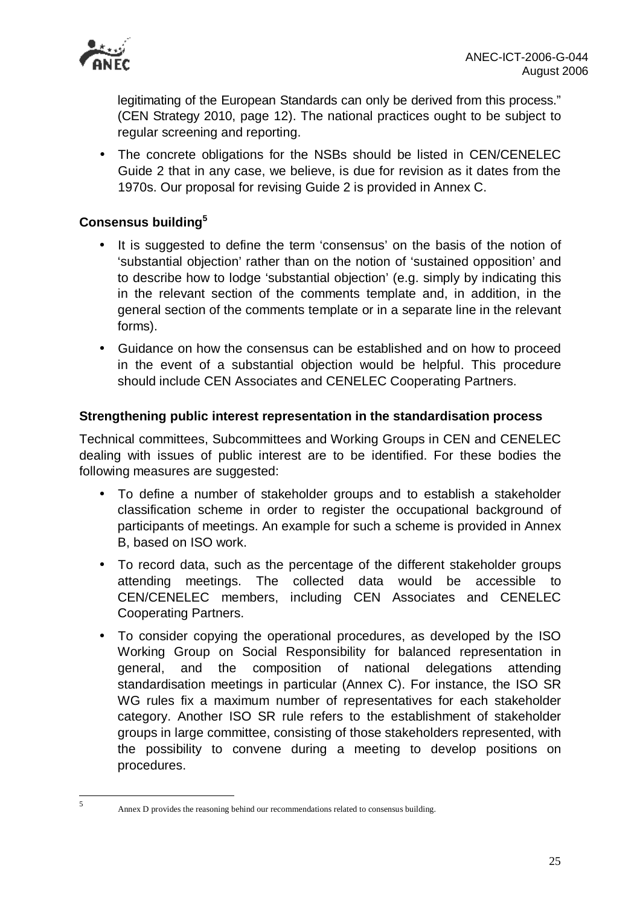

legitimating of the European Standards can only be derived from this process." (CEN Strategy 2010, page 12). The national practices ought to be subject to regular screening and reporting.

• The concrete obligations for the NSBs should be listed in CEN/CENELEC Guide 2 that in any case, we believe, is due for revision as it dates from the 1970s. Our proposal for revising Guide 2 is provided in Annex C.

# **Consensus building<sup>5</sup>**

- It is suggested to define the term 'consensus' on the basis of the notion of 'substantial objection' rather than on the notion of 'sustained opposition' and to describe how to lodge 'substantial objection' (e.g. simply by indicating this in the relevant section of the comments template and, in addition, in the general section of the comments template or in a separate line in the relevant forms).
- Guidance on how the consensus can be established and on how to proceed in the event of a substantial objection would be helpful. This procedure should include CEN Associates and CENELEC Cooperating Partners.

### **Strengthening public interest representation in the standardisation process**

Technical committees, Subcommittees and Working Groups in CEN and CENELEC dealing with issues of public interest are to be identified. For these bodies the following measures are suggested:

- To define a number of stakeholder groups and to establish a stakeholder classification scheme in order to register the occupational background of participants of meetings. An example for such a scheme is provided in Annex B, based on ISO work.
- To record data, such as the percentage of the different stakeholder groups attending meetings. The collected data would be accessible to CEN/CENELEC members, including CEN Associates and CENELEC Cooperating Partners.
- To consider copying the operational procedures, as developed by the ISO Working Group on Social Responsibility for balanced representation in general, and the composition of national delegations attending standardisation meetings in particular (Annex C). For instance, the ISO SR WG rules fix a maximum number of representatives for each stakeholder category. Another ISO SR rule refers to the establishment of stakeholder groups in large committee, consisting of those stakeholders represented, with the possibility to convene during a meeting to develop positions on procedures.

 5

Annex D provides the reasoning behind our recommendations related to consensus building.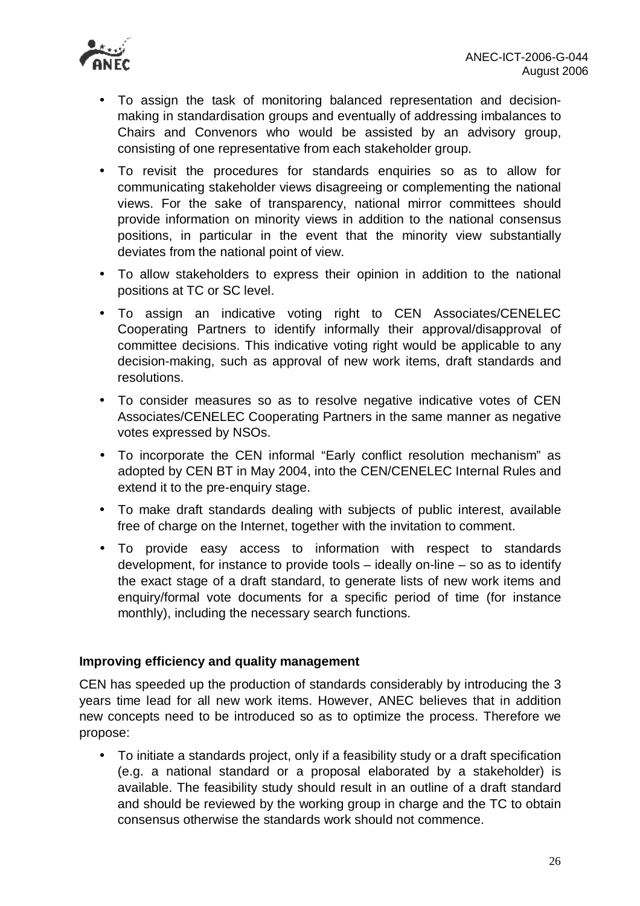- To assign the task of monitoring balanced representation and decisionmaking in standardisation groups and eventually of addressing imbalances to Chairs and Convenors who would be assisted by an advisory group, consisting of one representative from each stakeholder group.
- To revisit the procedures for standards enquiries so as to allow for communicating stakeholder views disagreeing or complementing the national views. For the sake of transparency, national mirror committees should provide information on minority views in addition to the national consensus positions, in particular in the event that the minority view substantially deviates from the national point of view.
- To allow stakeholders to express their opinion in addition to the national positions at TC or SC level.
- To assign an indicative voting right to CEN Associates/CENELEC Cooperating Partners to identify informally their approval/disapproval of committee decisions. This indicative voting right would be applicable to any decision-making, such as approval of new work items, draft standards and resolutions.
- To consider measures so as to resolve negative indicative votes of CEN Associates/CENELEC Cooperating Partners in the same manner as negative votes expressed by NSOs.
- To incorporate the CEN informal "Early conflict resolution mechanism" as adopted by CEN BT in May 2004, into the CEN/CENELEC Internal Rules and extend it to the pre-enquiry stage.
- To make draft standards dealing with subjects of public interest, available free of charge on the Internet, together with the invitation to comment.
- To provide easy access to information with respect to standards development, for instance to provide tools – ideally on-line – so as to identify the exact stage of a draft standard, to generate lists of new work items and enquiry/formal vote documents for a specific period of time (for instance monthly), including the necessary search functions.

# **Improving efficiency and quality management**

CEN has speeded up the production of standards considerably by introducing the 3 years time lead for all new work items. However, ANEC believes that in addition new concepts need to be introduced so as to optimize the process. Therefore we propose:

• To initiate a standards project, only if a feasibility study or a draft specification (e.g. a national standard or a proposal elaborated by a stakeholder) is available. The feasibility study should result in an outline of a draft standard and should be reviewed by the working group in charge and the TC to obtain consensus otherwise the standards work should not commence.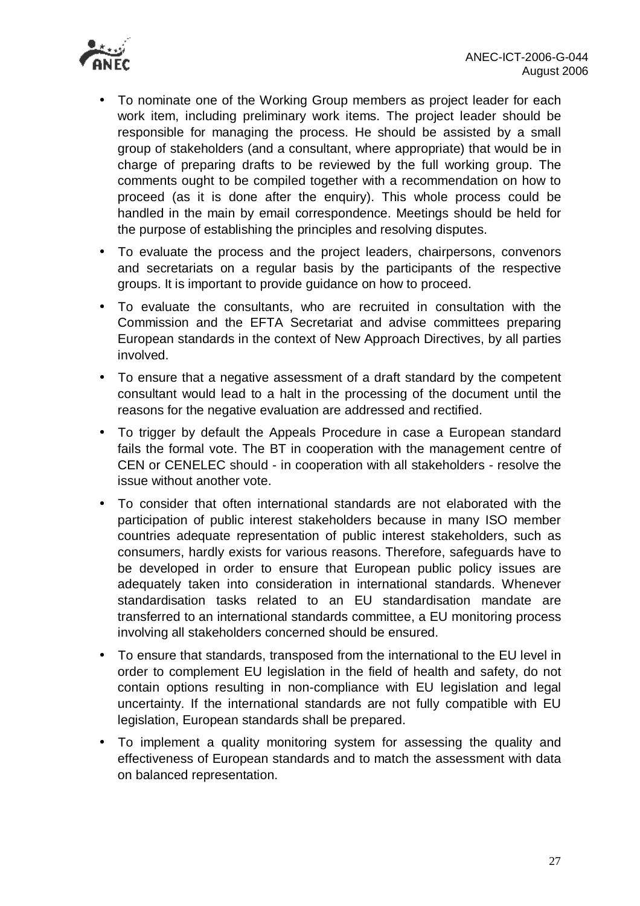

- To nominate one of the Working Group members as project leader for each work item, including preliminary work items. The project leader should be responsible for managing the process. He should be assisted by a small group of stakeholders (and a consultant, where appropriate) that would be in charge of preparing drafts to be reviewed by the full working group. The comments ought to be compiled together with a recommendation on how to proceed (as it is done after the enquiry). This whole process could be handled in the main by email correspondence. Meetings should be held for the purpose of establishing the principles and resolving disputes.
- To evaluate the process and the project leaders, chairpersons, convenors and secretariats on a regular basis by the participants of the respective groups. It is important to provide guidance on how to proceed.
- To evaluate the consultants, who are recruited in consultation with the Commission and the EFTA Secretariat and advise committees preparing European standards in the context of New Approach Directives, by all parties involved.
- To ensure that a negative assessment of a draft standard by the competent consultant would lead to a halt in the processing of the document until the reasons for the negative evaluation are addressed and rectified.
- To trigger by default the Appeals Procedure in case a European standard fails the formal vote. The BT in cooperation with the management centre of CEN or CENELEC should - in cooperation with all stakeholders - resolve the issue without another vote.
- To consider that often international standards are not elaborated with the participation of public interest stakeholders because in many ISO member countries adequate representation of public interest stakeholders, such as consumers, hardly exists for various reasons. Therefore, safeguards have to be developed in order to ensure that European public policy issues are adequately taken into consideration in international standards. Whenever standardisation tasks related to an EU standardisation mandate are transferred to an international standards committee, a EU monitoring process involving all stakeholders concerned should be ensured.
- To ensure that standards, transposed from the international to the EU level in order to complement EU legislation in the field of health and safety, do not contain options resulting in non-compliance with EU legislation and legal uncertainty. If the international standards are not fully compatible with EU legislation, European standards shall be prepared.
- To implement a quality monitoring system for assessing the quality and effectiveness of European standards and to match the assessment with data on balanced representation.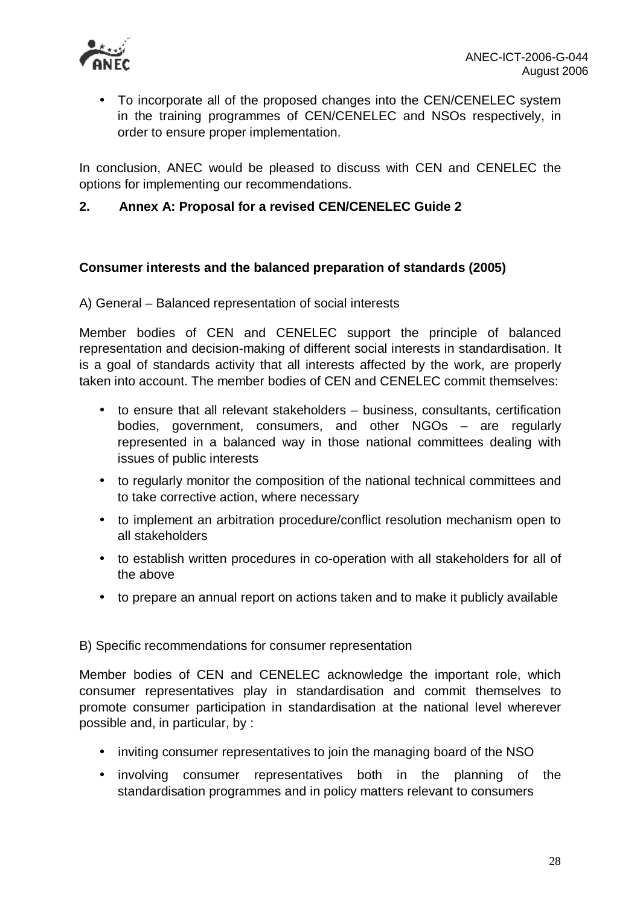

• To incorporate all of the proposed changes into the CEN/CENELEC system in the training programmes of CEN/CENELEC and NSOs respectively, in order to ensure proper implementation.

In conclusion, ANEC would be pleased to discuss with CEN and CENELEC the options for implementing our recommendations.

# **2. Annex A: Proposal for a revised CEN/CENELEC Guide 2**

# **Consumer interests and the balanced preparation of standards (2005)**

A) General – Balanced representation of social interests

Member bodies of CEN and CENELEC support the principle of balanced representation and decision-making of different social interests in standardisation. It is a goal of standards activity that all interests affected by the work, are properly taken into account. The member bodies of CEN and CENELEC commit themselves:

- to ensure that all relevant stakeholders business, consultants, certification bodies, government, consumers, and other NGOs – are regularly represented in a balanced way in those national committees dealing with issues of public interests
- to regularly monitor the composition of the national technical committees and to take corrective action, where necessary
- to implement an arbitration procedure/conflict resolution mechanism open to all stakeholders
- to establish written procedures in co-operation with all stakeholders for all of the above
- to prepare an annual report on actions taken and to make it publicly available

### B) Specific recommendations for consumer representation

Member bodies of CEN and CENELEC acknowledge the important role, which consumer representatives play in standardisation and commit themselves to promote consumer participation in standardisation at the national level wherever possible and, in particular, by :

- inviting consumer representatives to join the managing board of the NSO
- involving consumer representatives both in the planning of the standardisation programmes and in policy matters relevant to consumers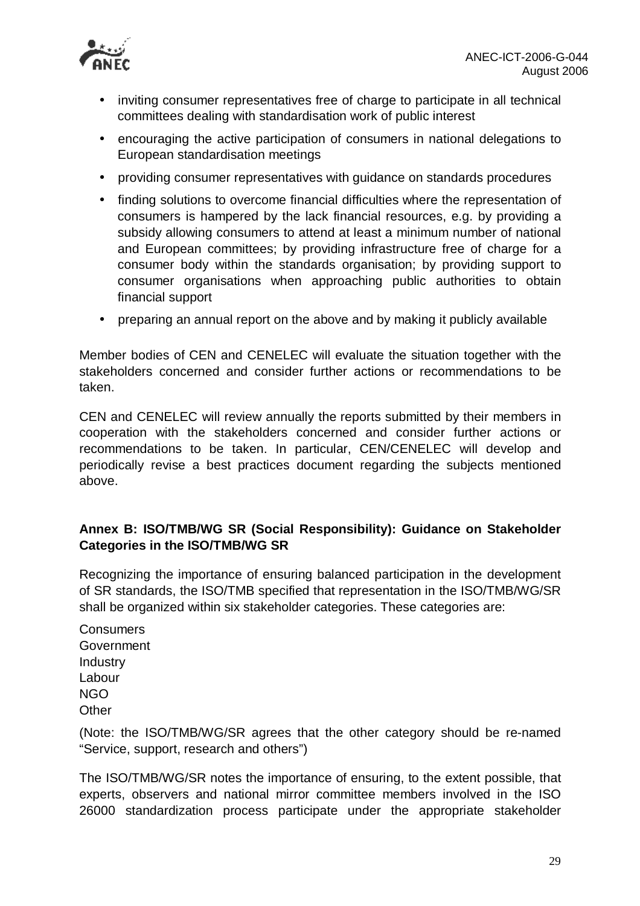

- inviting consumer representatives free of charge to participate in all technical committees dealing with standardisation work of public interest
- encouraging the active participation of consumers in national delegations to European standardisation meetings
- providing consumer representatives with guidance on standards procedures
- finding solutions to overcome financial difficulties where the representation of consumers is hampered by the lack financial resources, e.g. by providing a subsidy allowing consumers to attend at least a minimum number of national and European committees; by providing infrastructure free of charge for a consumer body within the standards organisation; by providing support to consumer organisations when approaching public authorities to obtain financial support
- preparing an annual report on the above and by making it publicly available

Member bodies of CEN and CENELEC will evaluate the situation together with the stakeholders concerned and consider further actions or recommendations to be taken.

CEN and CENELEC will review annually the reports submitted by their members in cooperation with the stakeholders concerned and consider further actions or recommendations to be taken. In particular, CEN/CENELEC will develop and periodically revise a best practices document regarding the subjects mentioned above.

# **Annex B: ISO/TMB/WG SR (Social Responsibility): Guidance on Stakeholder Categories in the ISO/TMB/WG SR**

Recognizing the importance of ensuring balanced participation in the development of SR standards, the ISO/TMB specified that representation in the ISO/TMB/WG/SR shall be organized within six stakeholder categories. These categories are:

**Consumers Government Industry** Labour NGO **Other** 

(Note: the ISO/TMB/WG/SR agrees that the other category should be re-named "Service, support, research and others")

The ISO/TMB/WG/SR notes the importance of ensuring, to the extent possible, that experts, observers and national mirror committee members involved in the ISO 26000 standardization process participate under the appropriate stakeholder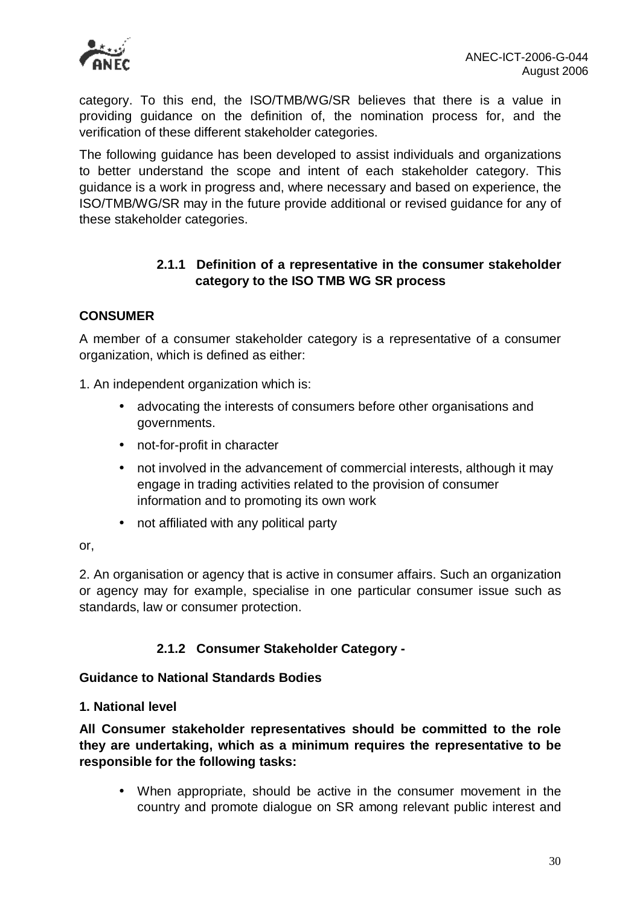

category. To this end, the ISO/TMB/WG/SR believes that there is a value in providing guidance on the definition of, the nomination process for, and the verification of these different stakeholder categories.

The following guidance has been developed to assist individuals and organizations to better understand the scope and intent of each stakeholder category. This guidance is a work in progress and, where necessary and based on experience, the ISO/TMB/WG/SR may in the future provide additional or revised guidance for any of these stakeholder categories.

# **2.1.1 Definition of a representative in the consumer stakeholder category to the ISO TMB WG SR process**

# **CONSUMER**

A member of a consumer stakeholder category is a representative of a consumer organization, which is defined as either:

1. An independent organization which is:

- advocating the interests of consumers before other organisations and governments.
- not-for-profit in character
- not involved in the advancement of commercial interests, although it may engage in trading activities related to the provision of consumer information and to promoting its own work
- not affiliated with any political party

#### or,

2. An organisation or agency that is active in consumer affairs. Such an organization or agency may for example, specialise in one particular consumer issue such as standards, law or consumer protection.

# **2.1.2 Consumer Stakeholder Category -**

### **Guidance to National Standards Bodies**

### **1. National level**

**All Consumer stakeholder representatives should be committed to the role they are undertaking, which as a minimum requires the representative to be responsible for the following tasks:** 

• When appropriate, should be active in the consumer movement in the country and promote dialogue on SR among relevant public interest and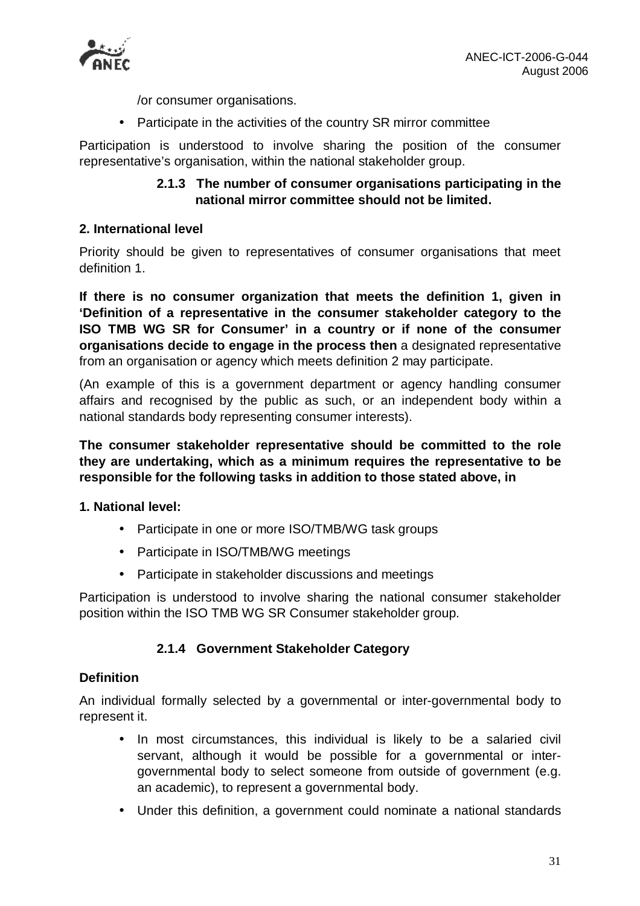

/or consumer organisations.

• Participate in the activities of the country SR mirror committee

Participation is understood to involve sharing the position of the consumer representative's organisation, within the national stakeholder group.

# **2.1.3 The number of consumer organisations participating in the national mirror committee should not be limited.**

# **2. International level**

Priority should be given to representatives of consumer organisations that meet definition 1.

**If there is no consumer organization that meets the definition 1, given in 'Definition of a representative in the consumer stakeholder category to the ISO TMB WG SR for Consumer' in a country or if none of the consumer organisations decide to engage in the process then** a designated representative from an organisation or agency which meets definition 2 may participate.

(An example of this is a government department or agency handling consumer affairs and recognised by the public as such, or an independent body within a national standards body representing consumer interests).

**The consumer stakeholder representative should be committed to the role they are undertaking, which as a minimum requires the representative to be responsible for the following tasks in addition to those stated above, in** 

### **1. National level:**

- Participate in one or more ISO/TMB/WG task groups
- Participate in ISO/TMB/WG meetings
- Participate in stakeholder discussions and meetings

Participation is understood to involve sharing the national consumer stakeholder position within the ISO TMB WG SR Consumer stakeholder group.

# **2.1.4 Government Stakeholder Category**

### **Definition**

An individual formally selected by a governmental or inter-governmental body to represent it.

- In most circumstances, this individual is likely to be a salaried civil servant, although it would be possible for a governmental or intergovernmental body to select someone from outside of government (e.g. an academic), to represent a governmental body.
- Under this definition, a government could nominate a national standards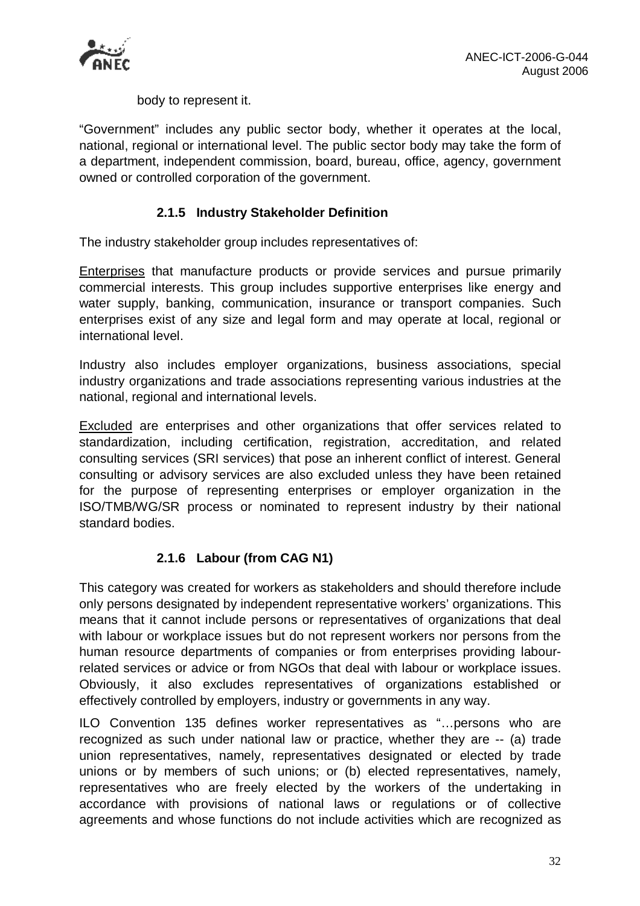

body to represent it.

"Government" includes any public sector body, whether it operates at the local, national, regional or international level. The public sector body may take the form of a department, independent commission, board, bureau, office, agency, government owned or controlled corporation of the government.

# **2.1.5 Industry Stakeholder Definition**

The industry stakeholder group includes representatives of:

Enterprises that manufacture products or provide services and pursue primarily commercial interests. This group includes supportive enterprises like energy and water supply, banking, communication, insurance or transport companies. Such enterprises exist of any size and legal form and may operate at local, regional or international level.

Industry also includes employer organizations, business associations, special industry organizations and trade associations representing various industries at the national, regional and international levels.

**Excluded** are enterprises and other organizations that offer services related to standardization, including certification, registration, accreditation, and related consulting services (SRI services) that pose an inherent conflict of interest. General consulting or advisory services are also excluded unless they have been retained for the purpose of representing enterprises or employer organization in the ISO/TMB/WG/SR process or nominated to represent industry by their national standard bodies.

# **2.1.6 Labour (from CAG N1)**

This category was created for workers as stakeholders and should therefore include only persons designated by independent representative workers' organizations. This means that it cannot include persons or representatives of organizations that deal with labour or workplace issues but do not represent workers nor persons from the human resource departments of companies or from enterprises providing labourrelated services or advice or from NGOs that deal with labour or workplace issues. Obviously, it also excludes representatives of organizations established or effectively controlled by employers, industry or governments in any way.

ILO Convention 135 defines worker representatives as "…persons who are recognized as such under national law or practice, whether they are -- (a) trade union representatives, namely, representatives designated or elected by trade unions or by members of such unions; or (b) elected representatives, namely, representatives who are freely elected by the workers of the undertaking in accordance with provisions of national laws or regulations or of collective agreements and whose functions do not include activities which are recognized as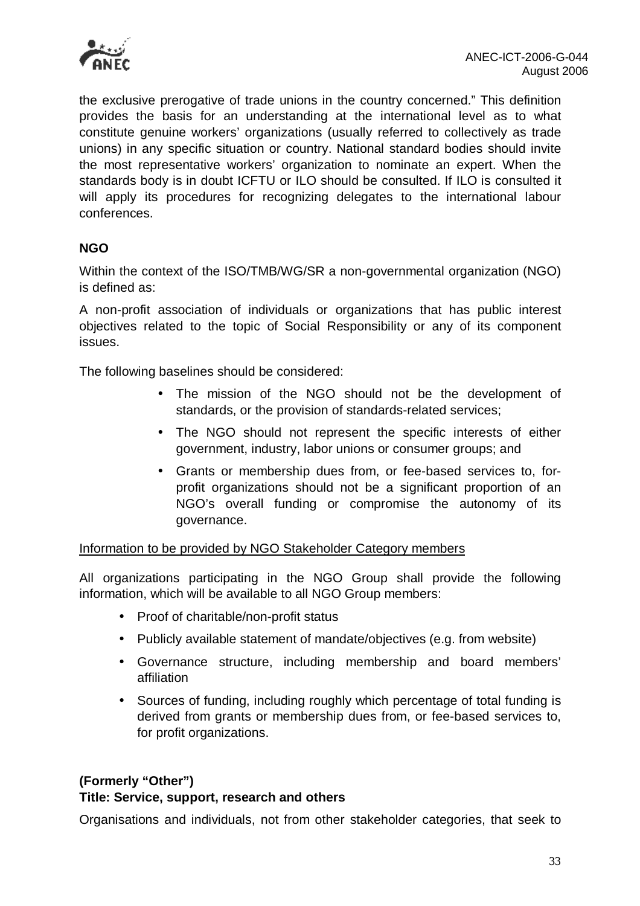

the exclusive prerogative of trade unions in the country concerned." This definition provides the basis for an understanding at the international level as to what constitute genuine workers' organizations (usually referred to collectively as trade unions) in any specific situation or country. National standard bodies should invite the most representative workers' organization to nominate an expert. When the standards body is in doubt ICFTU or ILO should be consulted. If ILO is consulted it will apply its procedures for recognizing delegates to the international labour conferences.

# **NGO**

Within the context of the ISO/TMB/WG/SR a non-governmental organization (NGO) is defined as:

A non-profit association of individuals or organizations that has public interest objectives related to the topic of Social Responsibility or any of its component issues.

The following baselines should be considered:

- The mission of the NGO should not be the development of standards, or the provision of standards-related services;
- The NGO should not represent the specific interests of either government, industry, labor unions or consumer groups; and
- Grants or membership dues from, or fee-based services to, forprofit organizations should not be a significant proportion of an NGO's overall funding or compromise the autonomy of its governance.

Information to be provided by NGO Stakeholder Category members

All organizations participating in the NGO Group shall provide the following information, which will be available to all NGO Group members:

- Proof of charitable/non-profit status
- Publicly available statement of mandate/objectives (e.g. from website)
- Governance structure, including membership and board members' affiliation
- Sources of funding, including roughly which percentage of total funding is derived from grants or membership dues from, or fee-based services to, for profit organizations.

# **(Formerly "Other") Title: Service, support, research and others**

Organisations and individuals, not from other stakeholder categories, that seek to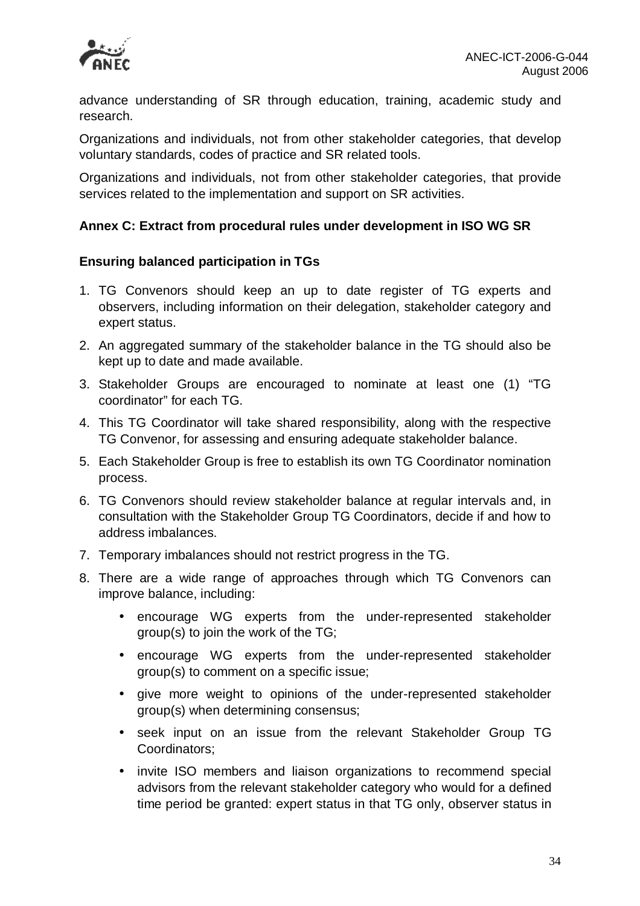

advance understanding of SR through education, training, academic study and research.

Organizations and individuals, not from other stakeholder categories, that develop voluntary standards, codes of practice and SR related tools.

Organizations and individuals, not from other stakeholder categories, that provide services related to the implementation and support on SR activities.

# **Annex C: Extract from procedural rules under development in ISO WG SR**

### **Ensuring balanced participation in TGs**

- 1. TG Convenors should keep an up to date register of TG experts and observers, including information on their delegation, stakeholder category and expert status.
- 2. An aggregated summary of the stakeholder balance in the TG should also be kept up to date and made available.
- 3. Stakeholder Groups are encouraged to nominate at least one (1) "TG coordinator" for each TG.
- 4. This TG Coordinator will take shared responsibility, along with the respective TG Convenor, for assessing and ensuring adequate stakeholder balance.
- 5. Each Stakeholder Group is free to establish its own TG Coordinator nomination process.
- 6. TG Convenors should review stakeholder balance at regular intervals and, in consultation with the Stakeholder Group TG Coordinators, decide if and how to address imbalances.
- 7. Temporary imbalances should not restrict progress in the TG.
- 8. There are a wide range of approaches through which TG Convenors can improve balance, including:
	- encourage WG experts from the under-represented stakeholder group(s) to join the work of the TG;
	- encourage WG experts from the under-represented stakeholder group(s) to comment on a specific issue;
	- give more weight to opinions of the under-represented stakeholder group(s) when determining consensus;
	- seek input on an issue from the relevant Stakeholder Group TG Coordinators;
	- invite ISO members and liaison organizations to recommend special advisors from the relevant stakeholder category who would for a defined time period be granted: expert status in that TG only, observer status in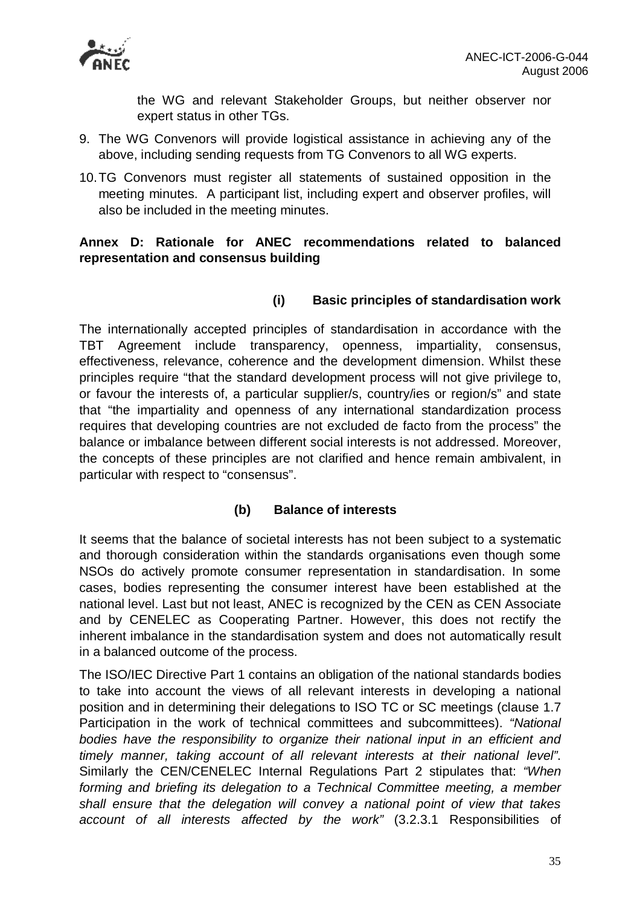

the WG and relevant Stakeholder Groups, but neither observer nor expert status in other TGs.

- 9. The WG Convenors will provide logistical assistance in achieving any of the above, including sending requests from TG Convenors to all WG experts.
- 10.TG Convenors must register all statements of sustained opposition in the meeting minutes. A participant list, including expert and observer profiles, will also be included in the meeting minutes.

# **Annex D: Rationale for ANEC recommendations related to balanced representation and consensus building**

# **(i) Basic principles of standardisation work**

The internationally accepted principles of standardisation in accordance with the TBT Agreement include transparency, openness, impartiality, consensus, effectiveness, relevance, coherence and the development dimension. Whilst these principles require "that the standard development process will not give privilege to, or favour the interests of, a particular supplier/s, country/ies or region/s" and state that "the impartiality and openness of any international standardization process requires that developing countries are not excluded de facto from the process" the balance or imbalance between different social interests is not addressed. Moreover, the concepts of these principles are not clarified and hence remain ambivalent, in particular with respect to "consensus".

# **(b) Balance of interests**

It seems that the balance of societal interests has not been subject to a systematic and thorough consideration within the standards organisations even though some NSOs do actively promote consumer representation in standardisation. In some cases, bodies representing the consumer interest have been established at the national level. Last but not least, ANEC is recognized by the CEN as CEN Associate and by CENELEC as Cooperating Partner. However, this does not rectify the inherent imbalance in the standardisation system and does not automatically result in a balanced outcome of the process.

The ISO/IEC Directive Part 1 contains an obligation of the national standards bodies to take into account the views of all relevant interests in developing a national position and in determining their delegations to ISO TC or SC meetings (clause 1.7 Participation in the work of technical committees and subcommittees). *"National bodies have the responsibility to organize their national input in an efficient and timely manner, taking account of all relevant interests at their national level"*. Similarly the CEN/CENELEC Internal Regulations Part 2 stipulates that: *"When forming and briefing its delegation to a Technical Committee meeting, a member shall ensure that the delegation will convey a national point of view that takes account of all interests affected by the work"* (3.2.3.1 Responsibilities of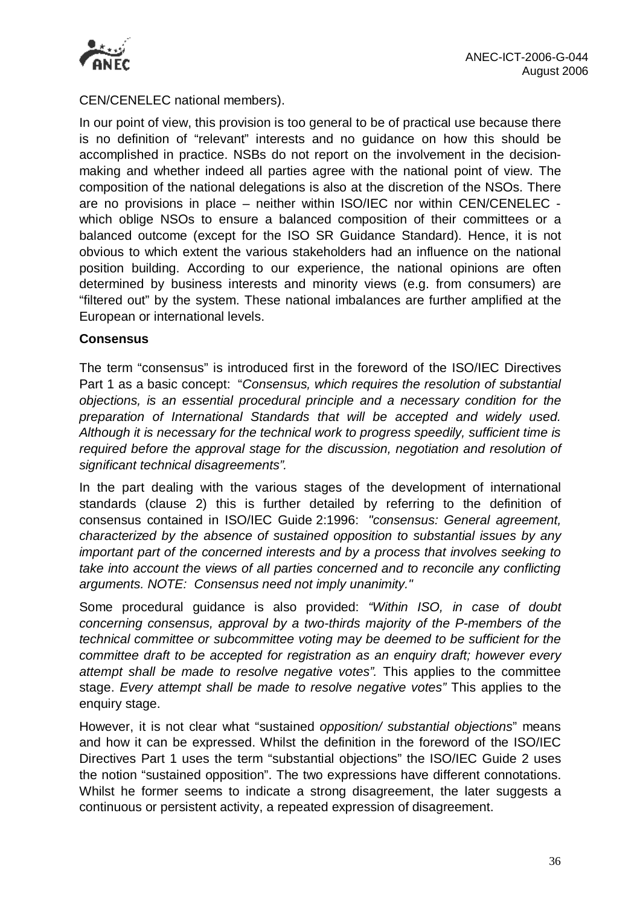

CEN/CENELEC national members).

In our point of view, this provision is too general to be of practical use because there is no definition of "relevant" interests and no guidance on how this should be accomplished in practice. NSBs do not report on the involvement in the decisionmaking and whether indeed all parties agree with the national point of view. The composition of the national delegations is also at the discretion of the NSOs. There are no provisions in place – neither within ISO/IEC nor within CEN/CENELEC which oblige NSOs to ensure a balanced composition of their committees or a balanced outcome (except for the ISO SR Guidance Standard). Hence, it is not obvious to which extent the various stakeholders had an influence on the national position building. According to our experience, the national opinions are often determined by business interests and minority views (e.g. from consumers) are "filtered out" by the system. These national imbalances are further amplified at the European or international levels.

### **Consensus**

The term "consensus" is introduced first in the foreword of the ISO/IEC Directives Part 1 as a basic concept: "*Consensus, which requires the resolution of substantial objections, is an essential procedural principle and a necessary condition for the preparation of International Standards that will be accepted and widely used. Although it is necessary for the technical work to progress speedily, sufficient time is required before the approval stage for the discussion, negotiation and resolution of significant technical disagreements".* 

In the part dealing with the various stages of the development of international standards (clause 2) this is further detailed by referring to the definition of consensus contained in ISO/IEC Guide 2:1996: *"consensus: General agreement, characterized by the absence of sustained opposition to substantial issues by any important part of the concerned interests and by a process that involves seeking to take into account the views of all parties concerned and to reconcile any conflicting arguments. NOTE: Consensus need not imply unanimity."* 

Some procedural guidance is also provided: *"Within ISO, in case of doubt concerning consensus, approval by a two-thirds majority of the P-members of the technical committee or subcommittee voting may be deemed to be sufficient for the committee draft to be accepted for registration as an enquiry draft; however every attempt shall be made to resolve negative votes".* This applies to the committee stage. *Every attempt shall be made to resolve negative votes"* This applies to the enquiry stage.

However, it is not clear what "sustained *opposition/ substantial objections*" means and how it can be expressed. Whilst the definition in the foreword of the ISO/IEC Directives Part 1 uses the term "substantial objections" the ISO/IEC Guide 2 uses the notion "sustained opposition". The two expressions have different connotations. Whilst he former seems to indicate a strong disagreement, the later suggests a continuous or persistent activity, a repeated expression of disagreement.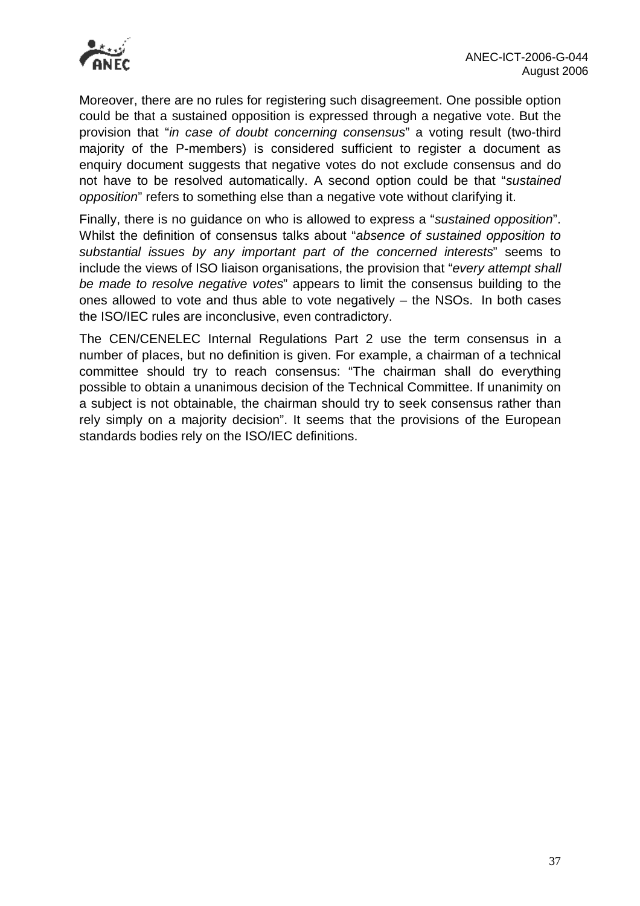

Moreover, there are no rules for registering such disagreement. One possible option could be that a sustained opposition is expressed through a negative vote. But the provision that "*in case of doubt concerning consensus*" a voting result (two-third majority of the P-members) is considered sufficient to register a document as enquiry document suggests that negative votes do not exclude consensus and do not have to be resolved automatically. A second option could be that "*sustained opposition*" refers to something else than a negative vote without clarifying it.

Finally, there is no guidance on who is allowed to express a "*sustained opposition*". Whilst the definition of consensus talks about "*absence of sustained opposition to substantial issues by any important part of the concerned interests*" seems to include the views of ISO liaison organisations, the provision that "*every attempt shall be made to resolve negative votes*" appears to limit the consensus building to the ones allowed to vote and thus able to vote negatively – the NSOs. In both cases the ISO/IEC rules are inconclusive, even contradictory.

The CEN/CENELEC Internal Regulations Part 2 use the term consensus in a number of places, but no definition is given. For example, a chairman of a technical committee should try to reach consensus: "The chairman shall do everything possible to obtain a unanimous decision of the Technical Committee. If unanimity on a subject is not obtainable, the chairman should try to seek consensus rather than rely simply on a majority decision". It seems that the provisions of the European standards bodies rely on the ISO/IEC definitions.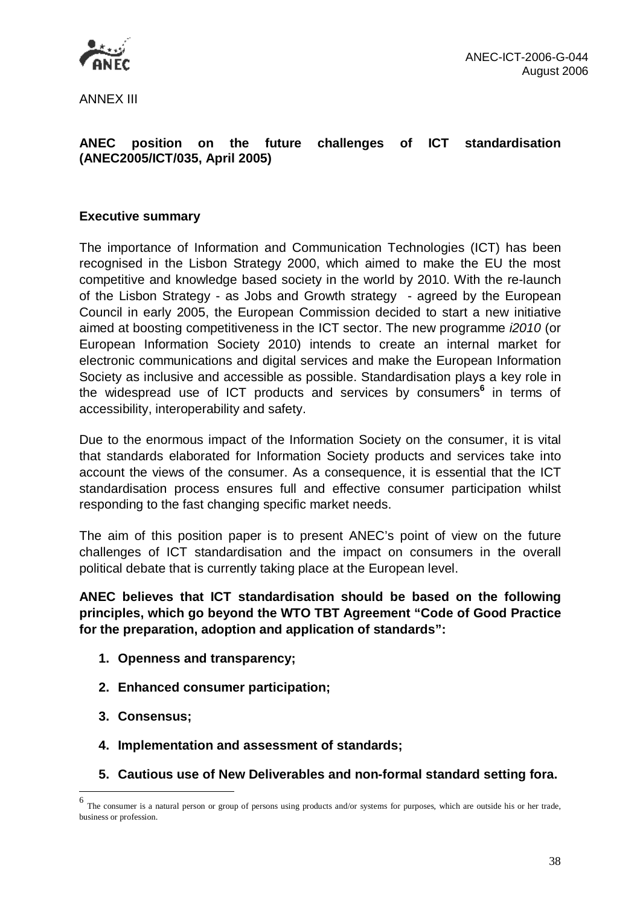

ANNEX III

# **ANEC position on the future challenges of ICT standardisation (ANEC2005/ICT/035, April 2005)**

# **Executive summary**

The importance of Information and Communication Technologies (ICT) has been recognised in the Lisbon Strategy 2000, which aimed to make the EU the most competitive and knowledge based society in the world by 2010. With the re-launch of the Lisbon Strategy - as Jobs and Growth strategy - agreed by the European Council in early 2005, the European Commission decided to start a new initiative aimed at boosting competitiveness in the ICT sector. The new programme *i2010* (or European Information Society 2010) intends to create an internal market for electronic communications and digital services and make the European Information Society as inclusive and accessible as possible. Standardisation plays a key role in the widespread use of ICT products and services by consumers**<sup>6</sup>** in terms of accessibility, interoperability and safety.

Due to the enormous impact of the Information Society on the consumer, it is vital that standards elaborated for Information Society products and services take into account the views of the consumer. As a consequence, it is essential that the ICT standardisation process ensures full and effective consumer participation whilst responding to the fast changing specific market needs.

The aim of this position paper is to present ANEC's point of view on the future challenges of ICT standardisation and the impact on consumers in the overall political debate that is currently taking place at the European level.

**ANEC believes that ICT standardisation should be based on the following principles, which go beyond the WTO TBT Agreement "Code of Good Practice for the preparation, adoption and application of standards":** 

- **1. Openness and transparency;**
- **2. Enhanced consumer participation;**
- **3. Consensus;**

l

- **4. Implementation and assessment of standards;**
- **5. Cautious use of New Deliverables and non-formal standard setting fora.**

<sup>6</sup> The consumer is a natural person or group of persons using products and/or systems for purposes, which are outside his or her trade, business or profession.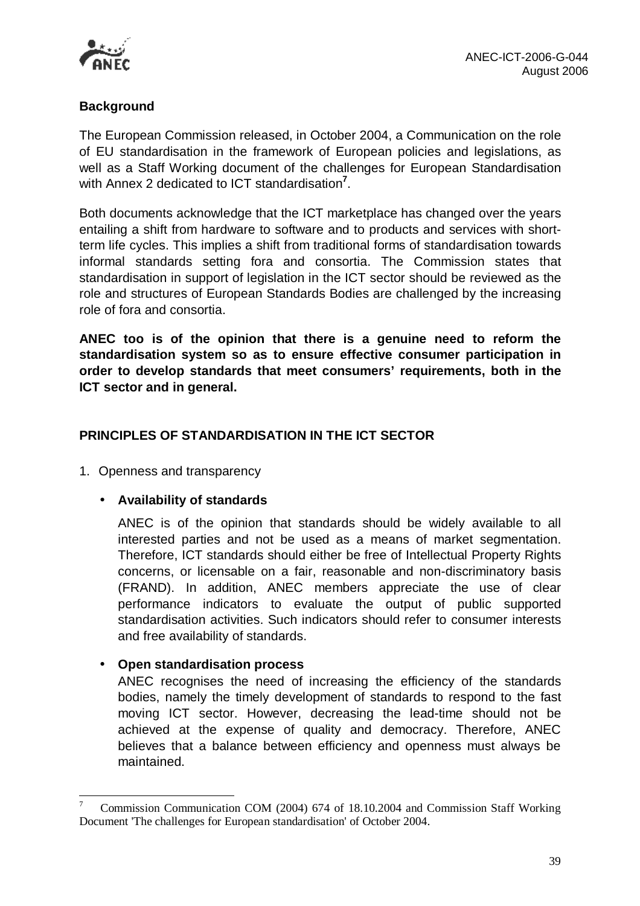

# **Background**

The European Commission released, in October 2004, a Communication on the role of EU standardisation in the framework of European policies and legislations, as well as a Staff Working document of the challenges for European Standardisation with Annex 2 dedicated to ICT standardisation**<sup>7</sup>** .

Both documents acknowledge that the ICT marketplace has changed over the years entailing a shift from hardware to software and to products and services with shortterm life cycles. This implies a shift from traditional forms of standardisation towards informal standards setting fora and consortia. The Commission states that standardisation in support of legislation in the ICT sector should be reviewed as the role and structures of European Standards Bodies are challenged by the increasing role of fora and consortia.

**ANEC too is of the opinion that there is a genuine need to reform the standardisation system so as to ensure effective consumer participation in order to develop standards that meet consumers' requirements, both in the ICT sector and in general.** 

# **PRINCIPLES OF STANDARDISATION IN THE ICT SECTOR**

1. Openness and transparency

# • **Availability of standards**

ANEC is of the opinion that standards should be widely available to all interested parties and not be used as a means of market segmentation. Therefore, ICT standards should either be free of Intellectual Property Rights concerns, or licensable on a fair, reasonable and non-discriminatory basis (FRAND). In addition, ANEC members appreciate the use of clear performance indicators to evaluate the output of public supported standardisation activities. Such indicators should refer to consumer interests and free availability of standards.

# • **Open standardisation process**

l

ANEC recognises the need of increasing the efficiency of the standards bodies, namely the timely development of standards to respond to the fast moving ICT sector. However, decreasing the lead-time should not be achieved at the expense of quality and democracy. Therefore, ANEC believes that a balance between efficiency and openness must always be maintained.

<sup>7</sup> Commission Communication COM (2004) 674 of 18.10.2004 and Commission Staff Working Document 'The challenges for European standardisation' of October 2004.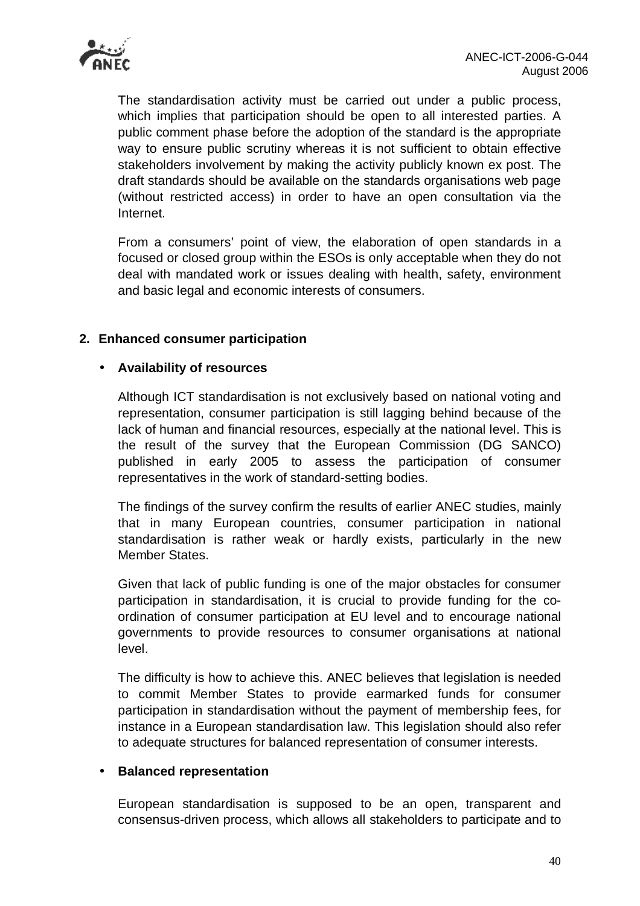

The standardisation activity must be carried out under a public process, which implies that participation should be open to all interested parties. A public comment phase before the adoption of the standard is the appropriate way to ensure public scrutiny whereas it is not sufficient to obtain effective stakeholders involvement by making the activity publicly known ex post. The draft standards should be available on the standards organisations web page (without restricted access) in order to have an open consultation via the Internet.

From a consumers' point of view, the elaboration of open standards in a focused or closed group within the ESOs is only acceptable when they do not deal with mandated work or issues dealing with health, safety, environment and basic legal and economic interests of consumers.

# **2. Enhanced consumer participation**

### • **Availability of resources**

Although ICT standardisation is not exclusively based on national voting and representation, consumer participation is still lagging behind because of the lack of human and financial resources, especially at the national level. This is the result of the survey that the European Commission (DG SANCO) published in early 2005 to assess the participation of consumer representatives in the work of standard-setting bodies.

The findings of the survey confirm the results of earlier ANEC studies, mainly that in many European countries, consumer participation in national standardisation is rather weak or hardly exists, particularly in the new Member States.

Given that lack of public funding is one of the major obstacles for consumer participation in standardisation, it is crucial to provide funding for the coordination of consumer participation at EU level and to encourage national governments to provide resources to consumer organisations at national level.

The difficulty is how to achieve this. ANEC believes that legislation is needed to commit Member States to provide earmarked funds for consumer participation in standardisation without the payment of membership fees, for instance in a European standardisation law. This legislation should also refer to adequate structures for balanced representation of consumer interests.

### • **Balanced representation**

European standardisation is supposed to be an open, transparent and consensus-driven process, which allows all stakeholders to participate and to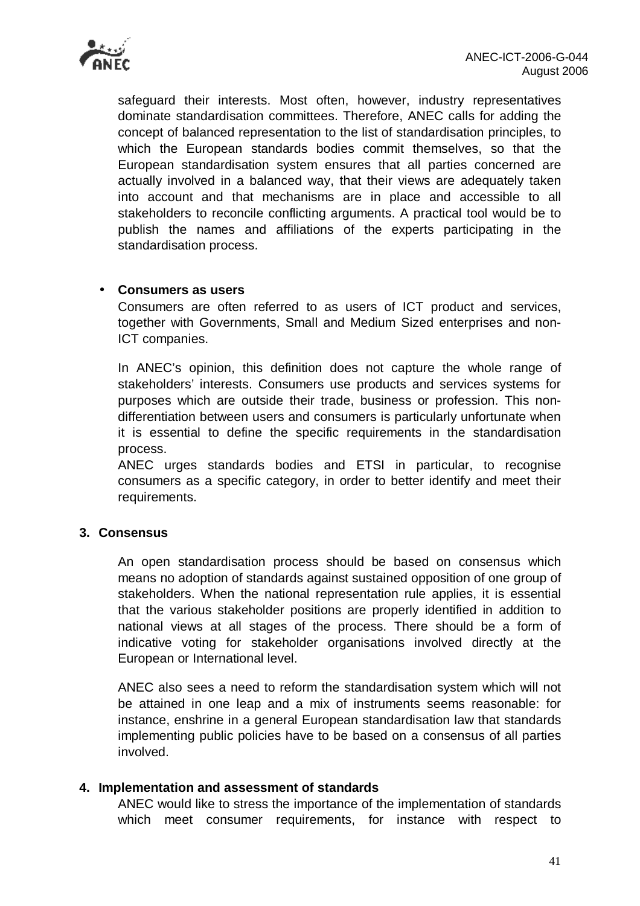

safeguard their interests. Most often, however, industry representatives dominate standardisation committees. Therefore, ANEC calls for adding the concept of balanced representation to the list of standardisation principles, to which the European standards bodies commit themselves, so that the European standardisation system ensures that all parties concerned are actually involved in a balanced way, that their views are adequately taken into account and that mechanisms are in place and accessible to all stakeholders to reconcile conflicting arguments. A practical tool would be to publish the names and affiliations of the experts participating in the standardisation process.

### • **Consumers as users**

Consumers are often referred to as users of ICT product and services, together with Governments, Small and Medium Sized enterprises and non-ICT companies.

In ANEC's opinion, this definition does not capture the whole range of stakeholders' interests. Consumers use products and services systems for purposes which are outside their trade, business or profession. This nondifferentiation between users and consumers is particularly unfortunate when it is essential to define the specific requirements in the standardisation process.

ANEC urges standards bodies and ETSI in particular, to recognise consumers as a specific category, in order to better identify and meet their requirements.

### **3. Consensus**

An open standardisation process should be based on consensus which means no adoption of standards against sustained opposition of one group of stakeholders. When the national representation rule applies, it is essential that the various stakeholder positions are properly identified in addition to national views at all stages of the process. There should be a form of indicative voting for stakeholder organisations involved directly at the European or International level.

ANEC also sees a need to reform the standardisation system which will not be attained in one leap and a mix of instruments seems reasonable: for instance, enshrine in a general European standardisation law that standards implementing public policies have to be based on a consensus of all parties involved.

#### **4. Implementation and assessment of standards**

ANEC would like to stress the importance of the implementation of standards which meet consumer requirements, for instance with respect to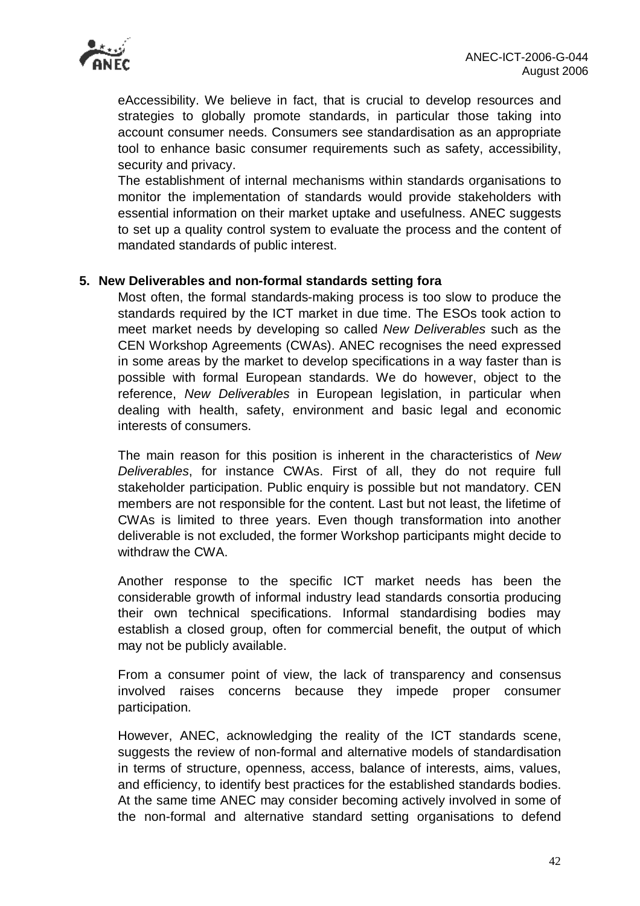

eAccessibility. We believe in fact, that is crucial to develop resources and strategies to globally promote standards, in particular those taking into account consumer needs. Consumers see standardisation as an appropriate tool to enhance basic consumer requirements such as safety, accessibility, security and privacy.

The establishment of internal mechanisms within standards organisations to monitor the implementation of standards would provide stakeholders with essential information on their market uptake and usefulness. ANEC suggests to set up a quality control system to evaluate the process and the content of mandated standards of public interest.

### **5. New Deliverables and non-formal standards setting fora**

Most often, the formal standards-making process is too slow to produce the standards required by the ICT market in due time. The ESOs took action to meet market needs by developing so called *New Deliverables* such as the CEN Workshop Agreements (CWAs). ANEC recognises the need expressed in some areas by the market to develop specifications in a way faster than is possible with formal European standards. We do however, object to the reference, *New Deliverables* in European legislation, in particular when dealing with health, safety, environment and basic legal and economic interests of consumers.

The main reason for this position is inherent in the characteristics of *New Deliverables*, for instance CWAs. First of all, they do not require full stakeholder participation. Public enquiry is possible but not mandatory. CEN members are not responsible for the content. Last but not least, the lifetime of CWAs is limited to three years. Even though transformation into another deliverable is not excluded, the former Workshop participants might decide to withdraw the CWA.

Another response to the specific ICT market needs has been the considerable growth of informal industry lead standards consortia producing their own technical specifications. Informal standardising bodies may establish a closed group, often for commercial benefit, the output of which may not be publicly available.

From a consumer point of view, the lack of transparency and consensus involved raises concerns because they impede proper consumer participation.

However, ANEC, acknowledging the reality of the ICT standards scene, suggests the review of non-formal and alternative models of standardisation in terms of structure, openness, access, balance of interests, aims, values, and efficiency, to identify best practices for the established standards bodies. At the same time ANEC may consider becoming actively involved in some of the non-formal and alternative standard setting organisations to defend